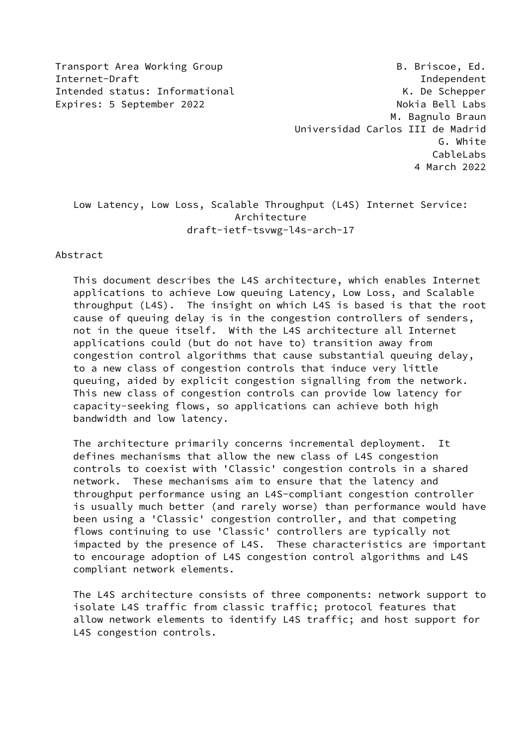Transport Area Working Group B. Briscoe, Ed. Internet-Draft Independent Intended status: Informational example and the Schepper of the Schepper Expires: 5 September 2022 and the state of the Nokia Bell Labs M. Bagnulo Braun Universidad Carlos III de Madrid G. White CableLabs 4 March 2022

# Low Latency, Low Loss, Scalable Throughput (L4S) Internet Service: Architecture draft-ietf-tsvwg-l4s-arch-17

## Abstract

 This document describes the L4S architecture, which enables Internet applications to achieve Low queuing Latency, Low Loss, and Scalable throughput (L4S). The insight on which L4S is based is that the root cause of queuing delay is in the congestion controllers of senders, not in the queue itself. With the L4S architecture all Internet applications could (but do not have to) transition away from congestion control algorithms that cause substantial queuing delay, to a new class of congestion controls that induce very little queuing, aided by explicit congestion signalling from the network. This new class of congestion controls can provide low latency for capacity-seeking flows, so applications can achieve both high bandwidth and low latency.

 The architecture primarily concerns incremental deployment. It defines mechanisms that allow the new class of L4S congestion controls to coexist with 'Classic' congestion controls in a shared network. These mechanisms aim to ensure that the latency and throughput performance using an L4S-compliant congestion controller is usually much better (and rarely worse) than performance would have been using a 'Classic' congestion controller, and that competing flows continuing to use 'Classic' controllers are typically not impacted by the presence of L4S. These characteristics are important to encourage adoption of L4S congestion control algorithms and L4S compliant network elements.

 The L4S architecture consists of three components: network support to isolate L4S traffic from classic traffic; protocol features that allow network elements to identify L4S traffic; and host support for L4S congestion controls.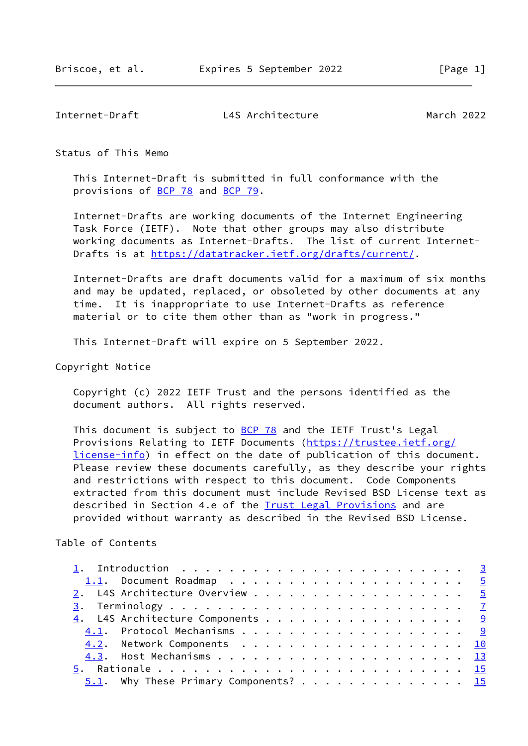Status of This Memo

 This Internet-Draft is submitted in full conformance with the provisions of [BCP 78](https://datatracker.ietf.org/doc/pdf/bcp78) and [BCP 79](https://datatracker.ietf.org/doc/pdf/bcp79).

 Internet-Drafts are working documents of the Internet Engineering Task Force (IETF). Note that other groups may also distribute working documents as Internet-Drafts. The list of current Internet- Drafts is at<https://datatracker.ietf.org/drafts/current/>.

 Internet-Drafts are draft documents valid for a maximum of six months and may be updated, replaced, or obsoleted by other documents at any time. It is inappropriate to use Internet-Drafts as reference material or to cite them other than as "work in progress."

This Internet-Draft will expire on 5 September 2022.

Copyright Notice

 Copyright (c) 2022 IETF Trust and the persons identified as the document authors. All rights reserved.

This document is subject to  $BCP$  78 and the IETF Trust's Legal Provisions Relating to IETF Documents ([https://trustee.ietf.org/](https://trustee.ietf.org/license-info) [license-info](https://trustee.ietf.org/license-info)) in effect on the date of publication of this document. Please review these documents carefully, as they describe your rights and restrictions with respect to this document. Code Components extracted from this document must include Revised BSD License text as described in Section 4.e of the [Trust Legal Provisions](https://trustee.ietf.org/license-info) and are provided without warranty as described in the Revised BSD License.

Table of Contents

|  | 1.1. Document Roadmap $\ldots$ 5                |  |
|--|-------------------------------------------------|--|
|  | 2. L4S Architecture Overview 5                  |  |
|  |                                                 |  |
|  | $\underline{4}$ . L4S Architecture Components 9 |  |
|  |                                                 |  |
|  | 4.2. Network Components 10                      |  |
|  |                                                 |  |
|  |                                                 |  |
|  | $5.1$ . Why These Primary Components? 15        |  |
|  |                                                 |  |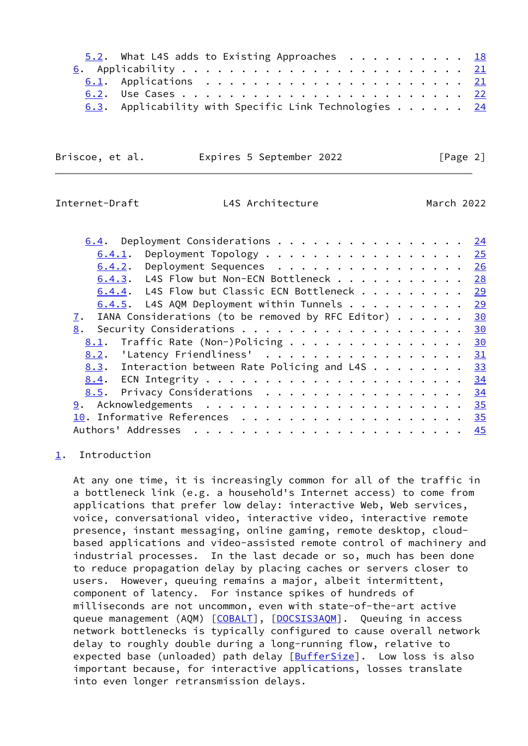| 5.2. What L4S adds to Existing Approaches 18                   |  |  |  |  |  |  |  |  |  |
|----------------------------------------------------------------|--|--|--|--|--|--|--|--|--|
|                                                                |  |  |  |  |  |  |  |  |  |
|                                                                |  |  |  |  |  |  |  |  |  |
|                                                                |  |  |  |  |  |  |  |  |  |
| 6.3. Applicability with Specific Link Technologies $\ldots$ 24 |  |  |  |  |  |  |  |  |  |

Briscoe, et al. **Expires 5 September 2022**[Page 2]

# <span id="page-2-1"></span>Internet-Draft L4S Architecture March 2022

| <u>6.4</u> . Deployment Considerations $\cdots$ <u>24</u>                           |  |    |
|-------------------------------------------------------------------------------------|--|----|
| $\underline{6.4.1}$ . Deployment Topology 25                                        |  |    |
| 6.4.2. Deployment Sequences 26                                                      |  |    |
| 6.4.3. L4S Flow but Non-ECN Bottleneck 28                                           |  |    |
| 6.4.4. L4S Flow but Classic ECN Bottleneck 29                                       |  |    |
| $6.4.5$ . L4S AQM Deployment within Tunnels 29                                      |  |    |
| IANA Considerations (to be removed by RFC Editor) $\cdots$ $\cdots$ $\frac{30}{20}$ |  |    |
| Security Considerations 30<br>8.                                                    |  |    |
| 8.1. Traffic Rate (Non-)Policing 30                                                 |  |    |
| 8.2. 'Latency Friendliness'                                                         |  | 31 |
| 8.3. Interaction between Rate Policing and L4S 33                                   |  |    |
|                                                                                     |  |    |
| 8.5. Privacy Considerations 34                                                      |  |    |
|                                                                                     |  |    |
| 10. Informative References 35                                                       |  |    |
| Authors' Addresses                                                                  |  |    |

## <span id="page-2-0"></span>[1](#page-2-0). Introduction

 At any one time, it is increasingly common for all of the traffic in a bottleneck link (e.g. a household's Internet access) to come from applications that prefer low delay: interactive Web, Web services, voice, conversational video, interactive video, interactive remote presence, instant messaging, online gaming, remote desktop, cloud based applications and video-assisted remote control of machinery and industrial processes. In the last decade or so, much has been done to reduce propagation delay by placing caches or servers closer to users. However, queuing remains a major, albeit intermittent, component of latency. For instance spikes of hundreds of milliseconds are not uncommon, even with state-of-the-art active queue management (AQM) [\[COBALT](#page-40-0)], [\[DOCSIS3AQM\]](#page-40-1). Queuing in access network bottlenecks is typically configured to cause overall network delay to roughly double during a long-running flow, relative to expected base (unloaded) path delay [\[BufferSize\]](#page-39-2). Low loss is also important because, for interactive applications, losses translate into even longer retransmission delays.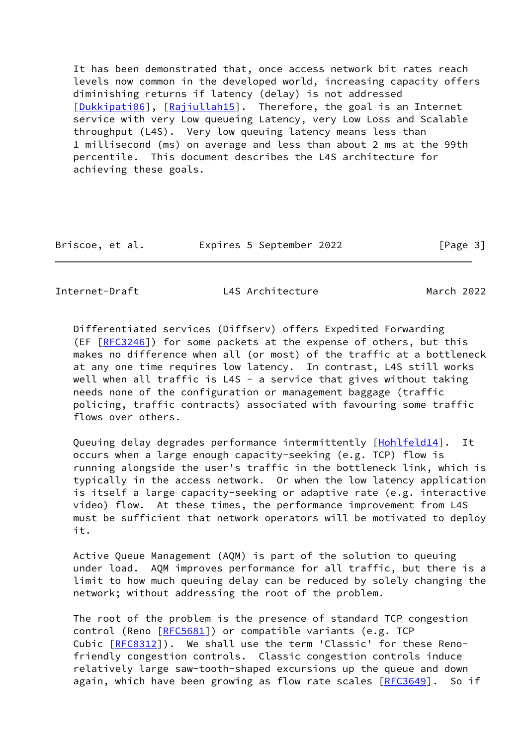It has been demonstrated that, once access network bit rates reach levels now common in the developed world, increasing capacity offers diminishing returns if latency (delay) is not addressed [\[Dukkipati06](#page-40-2)], [\[Rajiullah15](#page-45-0)]. Therefore, the goal is an Internet service with very Low queueing Latency, very Low Loss and Scalable throughput (L4S). Very low queuing latency means less than 1 millisecond (ms) on average and less than about 2 ms at the 99th percentile. This document describes the L4S architecture for achieving these goals.

Briscoe, et al. Expires 5 September 2022 [Page 3]

Internet-Draft L4S Architecture March 2022

 Differentiated services (Diffserv) offers Expedited Forwarding (EF [\[RFC3246](https://datatracker.ietf.org/doc/pdf/rfc3246)]) for some packets at the expense of others, but this makes no difference when all (or most) of the traffic at a bottleneck at any one time requires low latency. In contrast, L4S still works well when all traffic is L4S - a service that gives without taking needs none of the configuration or management baggage (traffic policing, traffic contracts) associated with favouring some traffic flows over others.

Queuing delay degrades performance intermittently [[Hohlfeld14\]](#page-41-0). It occurs when a large enough capacity-seeking (e.g. TCP) flow is running alongside the user's traffic in the bottleneck link, which is typically in the access network. Or when the low latency application is itself a large capacity-seeking or adaptive rate (e.g. interactive video) flow. At these times, the performance improvement from L4S must be sufficient that network operators will be motivated to deploy it.

 Active Queue Management (AQM) is part of the solution to queuing under load. AQM improves performance for all traffic, but there is a limit to how much queuing delay can be reduced by solely changing the network; without addressing the root of the problem.

 The root of the problem is the presence of standard TCP congestion control (Reno [[RFC5681](https://datatracker.ietf.org/doc/pdf/rfc5681)]) or compatible variants (e.g. TCP Cubic [[RFC8312](https://datatracker.ietf.org/doc/pdf/rfc8312)]). We shall use the term 'Classic' for these Reno friendly congestion controls. Classic congestion controls induce relatively large saw-tooth-shaped excursions up the queue and down again, which have been growing as flow rate scales [[RFC3649\]](https://datatracker.ietf.org/doc/pdf/rfc3649). So if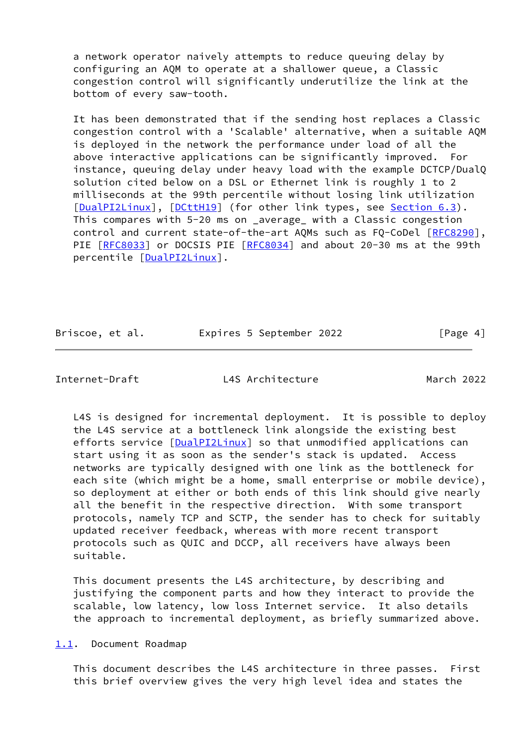a network operator naively attempts to reduce queuing delay by configuring an AQM to operate at a shallower queue, a Classic congestion control will significantly underutilize the link at the bottom of every saw-tooth.

 It has been demonstrated that if the sending host replaces a Classic congestion control with a 'Scalable' alternative, when a suitable AQM is deployed in the network the performance under load of all the above interactive applications can be significantly improved. For instance, queuing delay under heavy load with the example DCTCP/DualQ solution cited below on a DSL or Ethernet link is roughly 1 to 2 milliseconds at the 99th percentile without losing link utilization [\[DualPI2Linux](#page-40-3)], [\[DCttH19](#page-40-4)] (for other link types, see [Section 6.3](#page-26-0)). This compares with 5-20 ms on \_average\_ with a Classic congestion control and current state-of-the-art AQMs such as FQ-CoDel [[RFC8290\]](https://datatracker.ietf.org/doc/pdf/rfc8290), PIE [\[RFC8033](https://datatracker.ietf.org/doc/pdf/rfc8033)] or DOCSIS PIE [\[RFC8034](https://datatracker.ietf.org/doc/pdf/rfc8034)] and about 20-30 ms at the 99th percentile [[DualPI2Linux\]](#page-40-3).

| Briscoe, et al. | Expires 5 September 2022 | [Page 4] |
|-----------------|--------------------------|----------|
|                 |                          |          |

<span id="page-4-1"></span>Internet-Draft L4S Architecture March 2022

 L4S is designed for incremental deployment. It is possible to deploy the L4S service at a bottleneck link alongside the existing best efforts service [\[DualPI2Linux](#page-40-3)] so that unmodified applications can start using it as soon as the sender's stack is updated. Access networks are typically designed with one link as the bottleneck for each site (which might be a home, small enterprise or mobile device), so deployment at either or both ends of this link should give nearly all the benefit in the respective direction. With some transport protocols, namely TCP and SCTP, the sender has to check for suitably updated receiver feedback, whereas with more recent transport protocols such as QUIC and DCCP, all receivers have always been suitable.

 This document presents the L4S architecture, by describing and justifying the component parts and how they interact to provide the scalable, low latency, low loss Internet service. It also details the approach to incremental deployment, as briefly summarized above.

<span id="page-4-0"></span>[1.1](#page-4-0). Document Roadmap

 This document describes the L4S architecture in three passes. First this brief overview gives the very high level idea and states the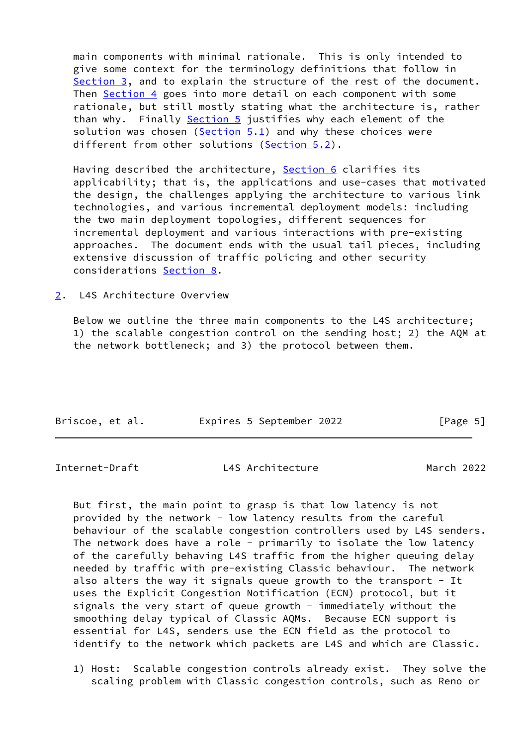main components with minimal rationale. This is only intended to give some context for the terminology definitions that follow in [Section 3](#page-7-0), and to explain the structure of the rest of the document. Then [Section 4](#page-9-0) goes into more detail on each component with some rationale, but still mostly stating what the architecture is, rather than why. Finally [Section 5](#page-15-0) justifies why each element of the solution was chosen [\(Section 5.1](#page-15-2)) and why these choices were different from other solutions [\(Section 5.2](#page-19-0)).

Having described the architecture, [Section 6](#page-23-0) clarifies its applicability; that is, the applications and use-cases that motivated the design, the challenges applying the architecture to various link technologies, and various incremental deployment models: including the two main deployment topologies, different sequences for incremental deployment and various interactions with pre-existing approaches. The document ends with the usual tail pieces, including extensive discussion of traffic policing and other security considerations [Section 8.](#page-33-1)

<span id="page-5-0"></span>[2](#page-5-0). L4S Architecture Overview

 Below we outline the three main components to the L4S architecture; 1) the scalable congestion control on the sending host; 2) the AQM at the network bottleneck; and 3) the protocol between them.

| Briscoe, et al. |  | Expires 5 September 2022 | [Page 5] |
|-----------------|--|--------------------------|----------|

Internet-Draft L4S Architecture March 2022

 But first, the main point to grasp is that low latency is not provided by the network - low latency results from the careful behaviour of the scalable congestion controllers used by L4S senders. The network does have a role - primarily to isolate the low latency of the carefully behaving L4S traffic from the higher queuing delay needed by traffic with pre-existing Classic behaviour. The network also alters the way it signals queue growth to the transport - It uses the Explicit Congestion Notification (ECN) protocol, but it signals the very start of queue growth - immediately without the smoothing delay typical of Classic AQMs. Because ECN support is essential for L4S, senders use the ECN field as the protocol to identify to the network which packets are L4S and which are Classic.

 1) Host: Scalable congestion controls already exist. They solve the scaling problem with Classic congestion controls, such as Reno or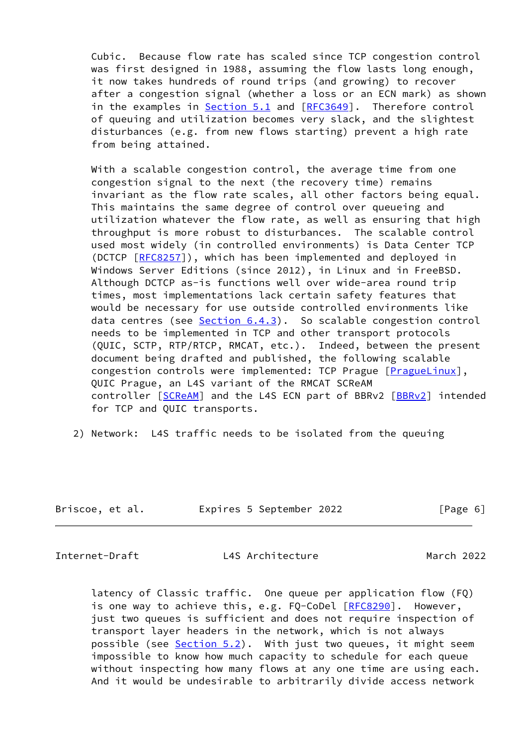Cubic. Because flow rate has scaled since TCP congestion control was first designed in 1988, assuming the flow lasts long enough, it now takes hundreds of round trips (and growing) to recover after a congestion signal (whether a loss or an ECN mark) as shown in the examples in [Section 5.1](#page-15-2) and [[RFC3649](https://datatracker.ietf.org/doc/pdf/rfc3649)]. Therefore control of queuing and utilization becomes very slack, and the slightest disturbances (e.g. from new flows starting) prevent a high rate from being attained.

With a scalable congestion control, the average time from one congestion signal to the next (the recovery time) remains invariant as the flow rate scales, all other factors being equal. This maintains the same degree of control over queueing and utilization whatever the flow rate, as well as ensuring that high throughput is more robust to disturbances. The scalable control used most widely (in controlled environments) is Data Center TCP (DCTCP [[RFC8257](https://datatracker.ietf.org/doc/pdf/rfc8257)]), which has been implemented and deployed in Windows Server Editions (since 2012), in Linux and in FreeBSD. Although DCTCP as-is functions well over wide-area round trip times, most implementations lack certain safety features that would be necessary for use outside controlled environments like data centres (see [Section 6.4.3](#page-31-0)). So scalable congestion control needs to be implemented in TCP and other transport protocols (QUIC, SCTP, RTP/RTCP, RMCAT, etc.). Indeed, between the present document being drafted and published, the following scalable congestion controls were implemented: TCP Prague [\[PragueLinux](#page-44-0)], QUIC Prague, an L4S variant of the RMCAT SCReAM controller [[SCReAM](#page-49-0)] and the L4S ECN part of BBRv2 [\[BBRv2\]](#page-39-3) intended for TCP and QUIC transports.

2) Network: L4S traffic needs to be isolated from the queuing

| Briscoe, et al. | Expires 5 September 2022 | [Page 6] |
|-----------------|--------------------------|----------|
|-----------------|--------------------------|----------|

<span id="page-6-0"></span>Internet-Draft L4S Architecture March 2022

 latency of Classic traffic. One queue per application flow (FQ) is one way to achieve this, e.g. FQ-CoDel [\[RFC8290](https://datatracker.ietf.org/doc/pdf/rfc8290)]. However, just two queues is sufficient and does not require inspection of transport layer headers in the network, which is not always possible (see [Section 5.2](#page-19-0)). With just two queues, it might seem impossible to know how much capacity to schedule for each queue without inspecting how many flows at any one time are using each. And it would be undesirable to arbitrarily divide access network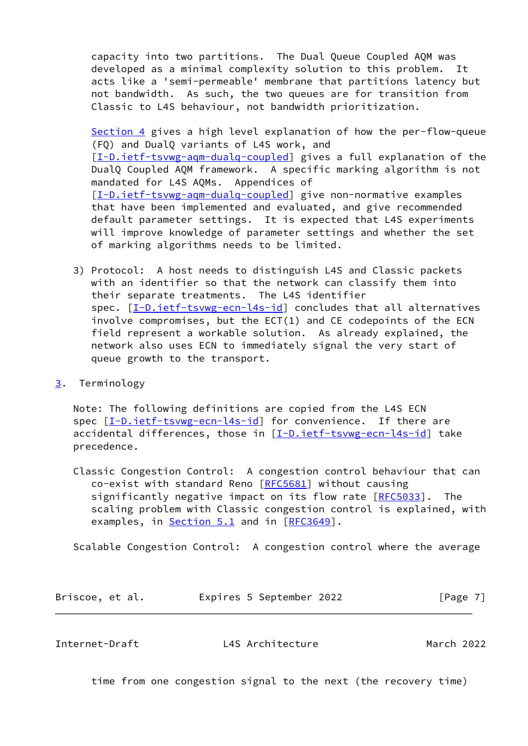capacity into two partitions. The Dual Queue Coupled AQM was developed as a minimal complexity solution to this problem. It acts like a 'semi-permeable' membrane that partitions latency but not bandwidth. As such, the two queues are for transition from Classic to L4S behaviour, not bandwidth prioritization.

 [Section 4](#page-9-0) gives a high level explanation of how the per-flow-queue (FQ) and DualQ variants of L4S work, and [[I-D.ietf-tsvwg-aqm-dualq-coupled\]](#page-42-0) gives a full explanation of the DualQ Coupled AQM framework. A specific marking algorithm is not mandated for L4S AQMs. Appendices of [[I-D.ietf-tsvwg-aqm-dualq-coupled\]](#page-42-0) give non-normative examples that have been implemented and evaluated, and give recommended default parameter settings. It is expected that L4S experiments will improve knowledge of parameter settings and whether the set of marking algorithms needs to be limited.

- 3) Protocol: A host needs to distinguish L4S and Classic packets with an identifier so that the network can classify them into their separate treatments. The L4S identifier spec.  $[I-D.iett-tswug-ecn-14s-id]$  concludes that all alternatives involve compromises, but the ECT(1) and CE codepoints of the ECN field represent a workable solution. As already explained, the network also uses ECN to immediately signal the very start of queue growth to the transport.
- <span id="page-7-0"></span>[3](#page-7-0). Terminology

 Note: The following definitions are copied from the L4S ECN spec [\[I-D.ietf-tsvwg-ecn-l4s-id\]](#page-42-1) for convenience. If there are accidental differences, those in [\[I-D.ietf-tsvwg-ecn-l4s-id\]](#page-42-1) take precedence.

 Classic Congestion Control: A congestion control behaviour that can co-exist with standard Reno [\[RFC5681](https://datatracker.ietf.org/doc/pdf/rfc5681)] without causing significantly negative impact on its flow rate [[RFC5033](https://datatracker.ietf.org/doc/pdf/rfc5033)]. The scaling problem with Classic congestion control is explained, with examples, in [Section 5.1](#page-15-2) and in [[RFC3649\]](https://datatracker.ietf.org/doc/pdf/rfc3649).

Scalable Congestion Control: A congestion control where the average

| Briscoe, et al. | Expires 5 September 2022 | [Page 7] |
|-----------------|--------------------------|----------|
|-----------------|--------------------------|----------|

Internet-Draft L4S Architecture March 2022

time from one congestion signal to the next (the recovery time)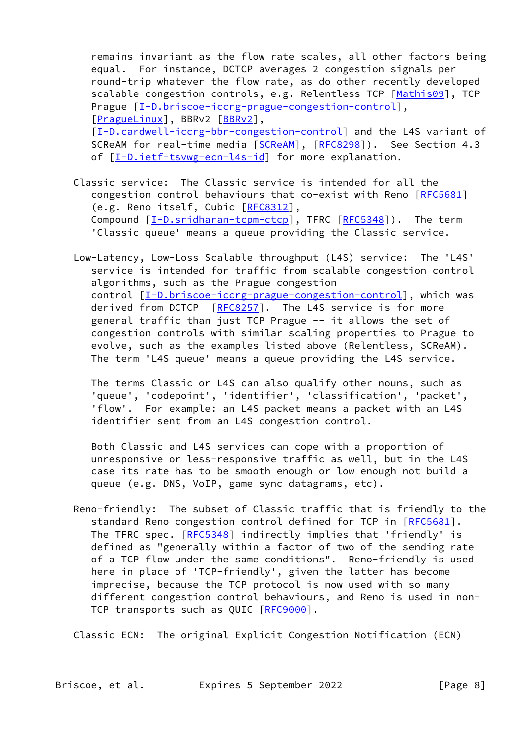remains invariant as the flow rate scales, all other factors being equal. For instance, DCTCP averages 2 congestion signals per round-trip whatever the flow rate, as do other recently developed scalable congestion controls, e.g. Relentless TCP [\[Mathis09](#page-44-1)], TCP Prague  $[I-D.briscoe-iccrg-prague-congestion-control],$  $[I-D.briscoe-iccrg-prague-congestion-control],$  $[I-D.briscoe-iccrg-prague-congestion-control],$ [[PragueLinux\]](#page-44-0), BBRv2 [\[BBRv2](#page-39-3)], [[I-D.cardwell-iccrg-bbr-congestion-control\]](#page-42-2) and the L4S variant of [SCReAM](#page-49-0) for real-time media [SCReAM], [\[RFC8298](https://datatracker.ietf.org/doc/pdf/rfc8298)]). See Section 4.3 of  $[I-D.iett-tswg-ecn-14s-id]$  for more explanation.

- Classic service: The Classic service is intended for all the congestion control behaviours that co-exist with Reno [\[RFC5681](https://datatracker.ietf.org/doc/pdf/rfc5681)] (e.g. Reno itself, Cubic [\[RFC8312](https://datatracker.ietf.org/doc/pdf/rfc8312)], Compound  $[I-D.sridharan-tcpm-ctcp]$  $[I-D.sridharan-tcpm-ctcp]$ , TFRC  $[RFC5348])$  $[RFC5348])$ . The term 'Classic queue' means a queue providing the Classic service.
- Low-Latency, Low-Loss Scalable throughput (L4S) service: The 'L4S' service is intended for traffic from scalable congestion control algorithms, such as the Prague congestion control [[I-D.briscoe-iccrg-prague-congestion-control\]](#page-41-1), which was derived from DCTCP [\[RFC8257](https://datatracker.ietf.org/doc/pdf/rfc8257)]. The L4S service is for more general traffic than just TCP Prague -- it allows the set of congestion controls with similar scaling properties to Prague to evolve, such as the examples listed above (Relentless, SCReAM). The term 'L4S queue' means a queue providing the L4S service.

 The terms Classic or L4S can also qualify other nouns, such as 'queue', 'codepoint', 'identifier', 'classification', 'packet', 'flow'. For example: an L4S packet means a packet with an L4S identifier sent from an L4S congestion control.

 Both Classic and L4S services can cope with a proportion of unresponsive or less-responsive traffic as well, but in the L4S case its rate has to be smooth enough or low enough not build a queue (e.g. DNS, VoIP, game sync datagrams, etc).

 Reno-friendly: The subset of Classic traffic that is friendly to the standard Reno congestion control defined for TCP in [\[RFC5681](https://datatracker.ietf.org/doc/pdf/rfc5681)]. The TFRC spec. [[RFC5348](https://datatracker.ietf.org/doc/pdf/rfc5348)] indirectly implies that 'friendly' is defined as "generally within a factor of two of the sending rate of a TCP flow under the same conditions". Reno-friendly is used here in place of 'TCP-friendly', given the latter has become imprecise, because the TCP protocol is now used with so many different congestion control behaviours, and Reno is used in non- TCP transports such as QUIC [\[RFC9000](https://datatracker.ietf.org/doc/pdf/rfc9000)].

Classic ECN: The original Explicit Congestion Notification (ECN)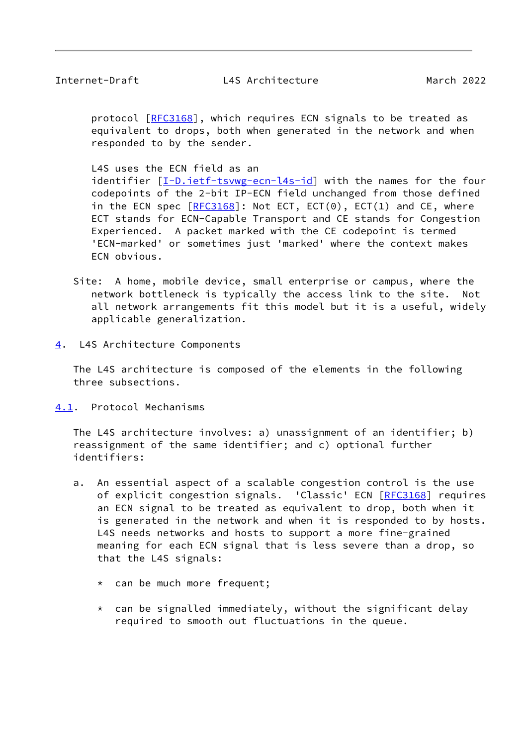<span id="page-9-1"></span>protocol [\[RFC3168](https://datatracker.ietf.org/doc/pdf/rfc3168)], which requires ECN signals to be treated as equivalent to drops, both when generated in the network and when responded to by the sender.

L4S uses the ECN field as an

 identifier [[I-D.ietf-tsvwg-ecn-l4s-id\]](#page-42-1) with the names for the four codepoints of the 2-bit IP-ECN field unchanged from those defined in the ECN spec  $[REC3168]$ : Not ECT, ECT(0), ECT(1) and CE, where ECT stands for ECN-Capable Transport and CE stands for Congestion Experienced. A packet marked with the CE codepoint is termed 'ECN-marked' or sometimes just 'marked' where the context makes ECN obvious.

 Site: A home, mobile device, small enterprise or campus, where the network bottleneck is typically the access link to the site. Not all network arrangements fit this model but it is a useful, widely applicable generalization.

<span id="page-9-0"></span>[4](#page-9-0). L4S Architecture Components

 The L4S architecture is composed of the elements in the following three subsections.

<span id="page-9-2"></span>[4.1](#page-9-2). Protocol Mechanisms

 The L4S architecture involves: a) unassignment of an identifier; b) reassignment of the same identifier; and c) optional further identifiers:

- a. An essential aspect of a scalable congestion control is the use of explicit congestion signals. 'Classic' ECN [[RFC3168\]](https://datatracker.ietf.org/doc/pdf/rfc3168) requires an ECN signal to be treated as equivalent to drop, both when it is generated in the network and when it is responded to by hosts. L4S needs networks and hosts to support a more fine-grained meaning for each ECN signal that is less severe than a drop, so that the L4S signals:
	- \* can be much more frequent;
	- $*$  can be signalled immediately, without the significant delay required to smooth out fluctuations in the queue.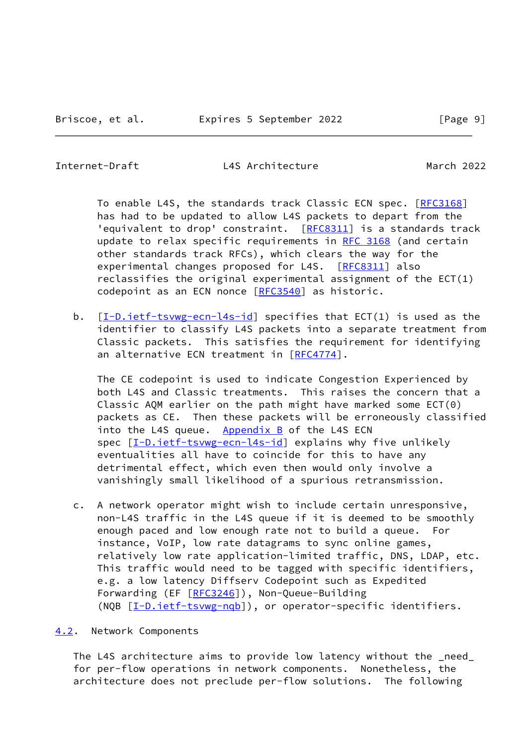<span id="page-10-1"></span>

To enable L4S, the standards track Classic ECN spec. [\[RFC3168](https://datatracker.ietf.org/doc/pdf/rfc3168)] has had to be updated to allow L4S packets to depart from the 'equivalent to drop' constraint. [[RFC8311](https://datatracker.ietf.org/doc/pdf/rfc8311)] is a standards track update to relax specific requirements in [RFC 3168](https://datatracker.ietf.org/doc/pdf/rfc3168) (and certain other standards track RFCs), which clears the way for the experimental changes proposed for L4S. [\[RFC8311](https://datatracker.ietf.org/doc/pdf/rfc8311)] also reclassifies the original experimental assignment of the ECT(1) codepoint as an ECN nonce [[RFC3540](https://datatracker.ietf.org/doc/pdf/rfc3540)] as historic.

b. [\[I-D.ietf-tsvwg-ecn-l4s-id](#page-42-1)] specifies that ECT(1) is used as the identifier to classify L4S packets into a separate treatment from Classic packets. This satisfies the requirement for identifying an alternative ECN treatment in [\[RFC4774](https://datatracker.ietf.org/doc/pdf/rfc4774)].

 The CE codepoint is used to indicate Congestion Experienced by both L4S and Classic treatments. This raises the concern that a Classic AQM earlier on the path might have marked some ECT(0) packets as CE. Then these packets will be erroneously classified into the L4S queue. Appendix  $B$  of the L4S ECN spec  $[\underline{I-D.iett-tswyg-ecn-14s-id}]$  explains why five unlikely eventualities all have to coincide for this to have any detrimental effect, which even then would only involve a vanishingly small likelihood of a spurious retransmission.

 c. A network operator might wish to include certain unresponsive, non-L4S traffic in the L4S queue if it is deemed to be smoothly enough paced and low enough rate not to build a queue. For instance, VoIP, low rate datagrams to sync online games, relatively low rate application-limited traffic, DNS, LDAP, etc. This traffic would need to be tagged with specific identifiers, e.g. a low latency Diffserv Codepoint such as Expedited Forwarding (EF [[RFC3246\]](https://datatracker.ietf.org/doc/pdf/rfc3246)), Non-Queue-Building (NQB [\[I-D.ietf-tsvwg-nqb\]](#page-43-1)), or operator-specific identifiers.

#### <span id="page-10-0"></span>[4.2](#page-10-0). Network Components

 The L4S architecture aims to provide low latency without the \_need\_ for per-flow operations in network components. Nonetheless, the architecture does not preclude per-flow solutions. The following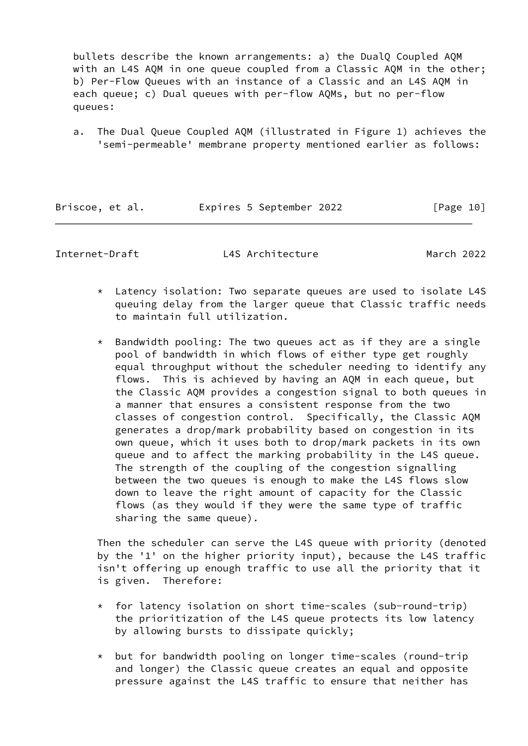bullets describe the known arrangements: a) the DualQ Coupled AQM with an L4S AQM in one queue coupled from a Classic AQM in the other; b) Per-Flow Queues with an instance of a Classic and an L4S AQM in each queue; c) Dual queues with per-flow AQMs, but no per-flow queues:

 a. The Dual Queue Coupled AQM (illustrated in Figure 1) achieves the 'semi-permeable' membrane property mentioned earlier as follows:

| Briscoe, et al. |  | Expires 5 September 2022 | [Page 10] |  |
|-----------------|--|--------------------------|-----------|--|
|                 |  |                          |           |  |

Internet-Draft L4S Architecture March 2022

- \* Latency isolation: Two separate queues are used to isolate L4S queuing delay from the larger queue that Classic traffic needs to maintain full utilization.
- \* Bandwidth pooling: The two queues act as if they are a single pool of bandwidth in which flows of either type get roughly equal throughput without the scheduler needing to identify any flows. This is achieved by having an AQM in each queue, but the Classic AQM provides a congestion signal to both queues in a manner that ensures a consistent response from the two classes of congestion control. Specifically, the Classic AQM generates a drop/mark probability based on congestion in its own queue, which it uses both to drop/mark packets in its own queue and to affect the marking probability in the L4S queue. The strength of the coupling of the congestion signalling between the two queues is enough to make the L4S flows slow down to leave the right amount of capacity for the Classic flows (as they would if they were the same type of traffic sharing the same queue).

 Then the scheduler can serve the L4S queue with priority (denoted by the '1' on the higher priority input), because the L4S traffic isn't offering up enough traffic to use all the priority that it is given. Therefore:

- \* for latency isolation on short time-scales (sub-round-trip) the prioritization of the L4S queue protects its low latency by allowing bursts to dissipate quickly;
- \* but for bandwidth pooling on longer time-scales (round-trip and longer) the Classic queue creates an equal and opposite pressure against the L4S traffic to ensure that neither has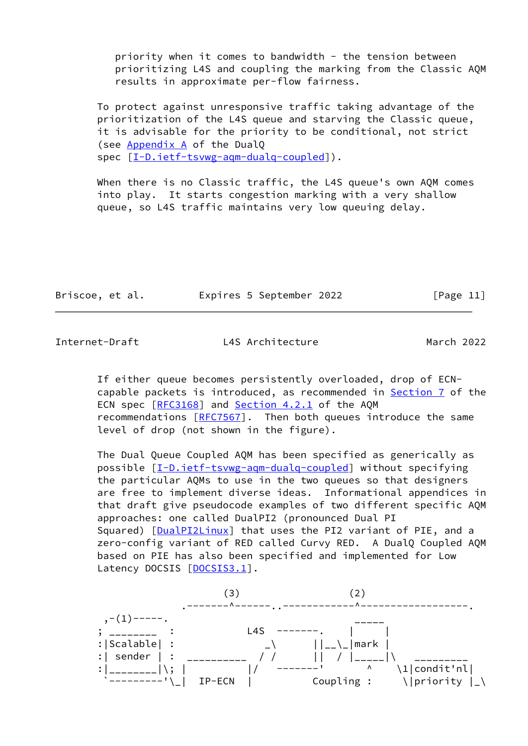priority when it comes to bandwidth - the tension between prioritizing L4S and coupling the marking from the Classic AQM results in approximate per-flow fairness.

 To protect against unresponsive traffic taking advantage of the prioritization of the L4S queue and starving the Classic queue, it is advisable for the priority to be conditional, not strict (see Appendix A of the DualQ spec [\[I-D.ietf-tsvwg-aqm-dualq-coupled](#page-42-0)]).

 When there is no Classic traffic, the L4S queue's own AQM comes into play. It starts congestion marking with a very shallow queue, so L4S traffic maintains very low queuing delay.

| Briscoe, et al. | Expires 5 September 2022 | [Page 11] |  |
|-----------------|--------------------------|-----------|--|
|                 |                          |           |  |

Internet-Draft L4S Architecture March 2022

 If either queue becomes persistently overloaded, drop of ECN capable packets is introduced, as recommended in **Section 7** of the ECN spec [\[RFC3168](https://datatracker.ietf.org/doc/pdf/rfc3168)] and Section 4.2.1 of the AQM recommendations [\[RFC7567](https://datatracker.ietf.org/doc/pdf/rfc7567)]. Then both queues introduce the same level of drop (not shown in the figure).

 The Dual Queue Coupled AQM has been specified as generically as possible [\[I-D.ietf-tsvwg-aqm-dualq-coupled](#page-42-0)] without specifying the particular AQMs to use in the two queues so that designers are free to implement diverse ideas. Informational appendices in that draft give pseudocode examples of two different specific AQM approaches: one called DualPI2 (pronounced Dual PI Squared) [\[DualPI2Linux](#page-40-3)] that uses the PI2 variant of PIE, and a zero-config variant of RED called Curvy RED. A DualQ Coupled AQM based on PIE has also been specified and implemented for Low Latency DOCSIS [[DOCSIS3.1\]](#page-40-5).

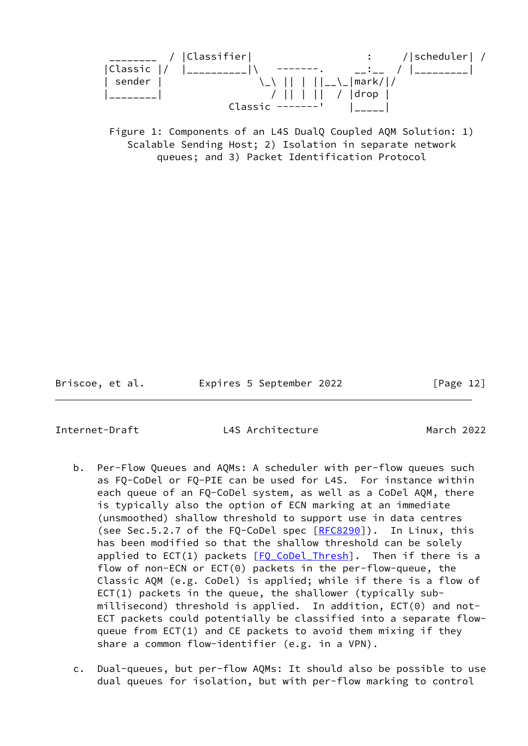

 Figure 1: Components of an L4S DualQ Coupled AQM Solution: 1) Scalable Sending Host; 2) Isolation in separate network queues; and 3) Packet Identification Protocol

Briscoe, et al. Expires 5 September 2022 [Page 12]

<span id="page-13-0"></span>

- b. Per-Flow Queues and AQMs: A scheduler with per-flow queues such as FQ-CoDel or FQ-PIE can be used for L4S. For instance within each queue of an FQ-CoDel system, as well as a CoDel AQM, there is typically also the option of ECN marking at an immediate (unsmoothed) shallow threshold to support use in data centres (see Sec.5.2.7 of the FQ-CoDel spec [\[RFC8290](https://datatracker.ietf.org/doc/pdf/rfc8290)]). In Linux, this has been modified so that the shallow threshold can be solely applied to ECT(1) packets  $[FO$  CoDel Thresh]. Then if there is a flow of non-ECN or ECT(0) packets in the per-flow-queue, the Classic AQM (e.g. CoDel) is applied; while if there is a flow of  $ECT(1)$  packets in the queue, the shallower (typically sub millisecond) threshold is applied. In addition, ECT(0) and not- ECT packets could potentially be classified into a separate flow queue from ECT(1) and CE packets to avoid them mixing if they share a common flow-identifier (e.g. in a VPN).
- c. Dual-queues, but per-flow AQMs: It should also be possible to use dual queues for isolation, but with per-flow marking to control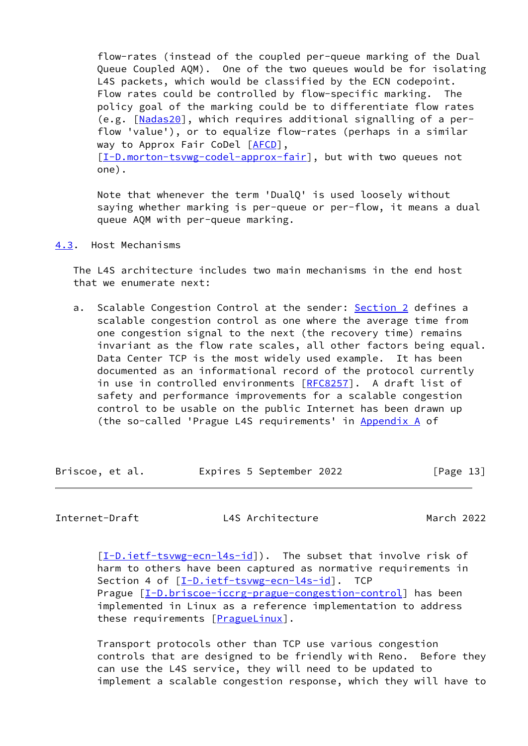flow-rates (instead of the coupled per-queue marking of the Dual Queue Coupled AQM). One of the two queues would be for isolating L4S packets, which would be classified by the ECN codepoint. Flow rates could be controlled by flow-specific marking. The policy goal of the marking could be to differentiate flow rates (e.g. [[Nadas20](#page-44-2)], which requires additional signalling of a per flow 'value'), or to equalize flow-rates (perhaps in a similar way to Approx Fair CoDel [\[AFCD](#page-39-4)], [\[I-D.morton-tsvwg-codel-approx-fair\]](#page-43-2), but with two queues not one).

 Note that whenever the term 'DualQ' is used loosely without saying whether marking is per-queue or per-flow, it means a dual queue AQM with per-queue marking.

<span id="page-14-0"></span>[4.3](#page-14-0). Host Mechanisms

 The L4S architecture includes two main mechanisms in the end host that we enumerate next:

a. Scalable Congestion Control at the sender: [Section 2](#page-5-0) defines a scalable congestion control as one where the average time from one congestion signal to the next (the recovery time) remains invariant as the flow rate scales, all other factors being equal. Data Center TCP is the most widely used example. It has been documented as an informational record of the protocol currently in use in controlled environments [[RFC8257](https://datatracker.ietf.org/doc/pdf/rfc8257)]. A draft list of safety and performance improvements for a scalable congestion control to be usable on the public Internet has been drawn up (the so-called 'Prague L4S requirements' in Appendix A of

Briscoe, et al. 
Expires 5 September 2022
[Page 13]

Internet-Draft L4S Architecture March 2022

[\[I-D.ietf-tsvwg-ecn-l4s-id](#page-42-1)]). The subset that involve risk of harm to others have been captured as normative requirements in Section 4 of [\[I-D.ietf-tsvwg-ecn-l4s-id\]](#page-42-1). TCP Prague  $[I-D.briscoe-iccrg-prague-congestion-control]$  $[I-D.briscoe-iccrg-prague-congestion-control]$  has been implemented in Linux as a reference implementation to address these requirements [\[PragueLinux](#page-44-0)].

 Transport protocols other than TCP use various congestion controls that are designed to be friendly with Reno. Before they can use the L4S service, they will need to be updated to implement a scalable congestion response, which they will have to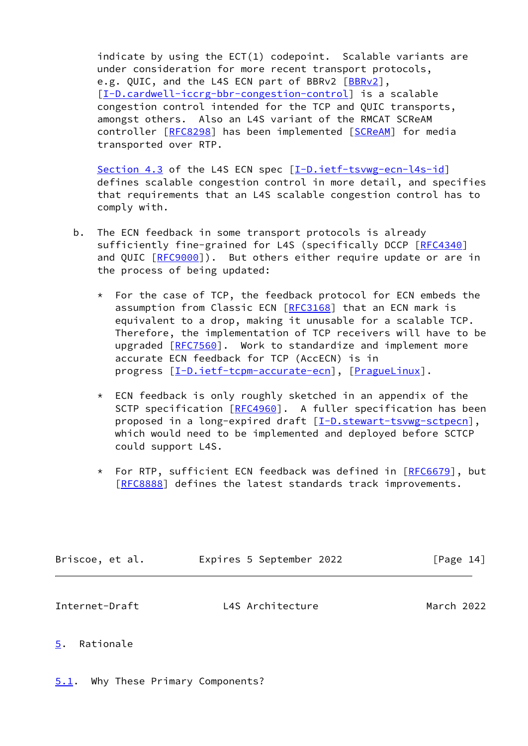indicate by using the ECT(1) codepoint. Scalable variants are under consideration for more recent transport protocols, e.g. QUIC, and the L4S ECN part of BBRv2 [\[BBRv2\]](#page-39-3), [\[I-D.cardwell-iccrg-bbr-congestion-control](#page-42-2)] is a scalable congestion control intended for the TCP and QUIC transports, amongst others. Also an L4S variant of the RMCAT SCReAM controller [\[RFC8298](https://datatracker.ietf.org/doc/pdf/rfc8298)] has been implemented [[SCReAM](#page-49-0)] for media transported over RTP.

[Section 4.3](#page-14-0) of the L4S ECN spec [\[I-D.ietf-tsvwg-ecn-l4s-id](#page-42-1)] defines scalable congestion control in more detail, and specifies that requirements that an L4S scalable congestion control has to comply with.

- b. The ECN feedback in some transport protocols is already sufficiently fine-grained for L4S (specifically DCCP [\[RFC4340](https://datatracker.ietf.org/doc/pdf/rfc4340)] and QUIC [\[RFC9000](https://datatracker.ietf.org/doc/pdf/rfc9000)]). But others either require update or are in the process of being updated:
	- \* For the case of TCP, the feedback protocol for ECN embeds the assumption from Classic ECN [[RFC3168\]](https://datatracker.ietf.org/doc/pdf/rfc3168) that an ECN mark is equivalent to a drop, making it unusable for a scalable TCP. Therefore, the implementation of TCP receivers will have to be upgraded [\[RFC7560](https://datatracker.ietf.org/doc/pdf/rfc7560)]. Work to standardize and implement more accurate ECN feedback for TCP (AccECN) is in progress [\[I-D.ietf-tcpm-accurate-ecn\]](#page-42-3), [[PragueLinux](#page-44-0)].
	- \* ECN feedback is only roughly sketched in an appendix of the SCTP specification [[RFC4960](https://datatracker.ietf.org/doc/pdf/rfc4960)]. A fuller specification has been proposed in a long-expired draft [\[I-D.stewart-tsvwg-sctpecn](#page-43-3)], which would need to be implemented and deployed before SCTCP could support L4S.
	- \* For RTP, sufficient ECN feedback was defined in [\[RFC6679](https://datatracker.ietf.org/doc/pdf/rfc6679)], but [\[RFC8888](https://datatracker.ietf.org/doc/pdf/rfc8888)] defines the latest standards track improvements.

<span id="page-15-1"></span>

| Briscoe, et al. | Expires 5 September 2022 | [Page 14]  |
|-----------------|--------------------------|------------|
| Internet-Draft  | L4S Architecture         | March 2022 |

## <span id="page-15-0"></span>[5](#page-15-0). Rationale

<span id="page-15-2"></span>[5.1](#page-15-2). Why These Primary Components?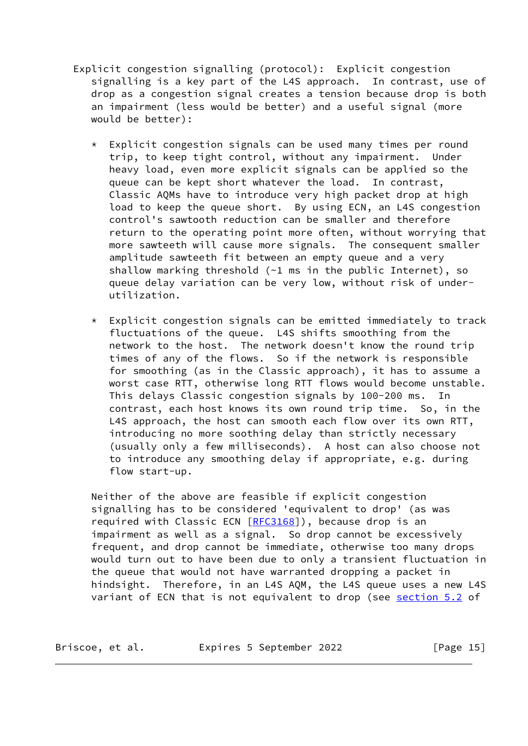- Explicit congestion signalling (protocol): Explicit congestion signalling is a key part of the L4S approach. In contrast, use of drop as a congestion signal creates a tension because drop is both an impairment (less would be better) and a useful signal (more would be better):
	- \* Explicit congestion signals can be used many times per round trip, to keep tight control, without any impairment. Under heavy load, even more explicit signals can be applied so the queue can be kept short whatever the load. In contrast, Classic AQMs have to introduce very high packet drop at high load to keep the queue short. By using ECN, an L4S congestion control's sawtooth reduction can be smaller and therefore return to the operating point more often, without worrying that more sawteeth will cause more signals. The consequent smaller amplitude sawteeth fit between an empty queue and a very shallow marking threshold (~1 ms in the public Internet), so queue delay variation can be very low, without risk of under utilization.
	- $*$  Explicit congestion signals can be emitted immediately to track fluctuations of the queue. L4S shifts smoothing from the network to the host. The network doesn't know the round trip times of any of the flows. So if the network is responsible for smoothing (as in the Classic approach), it has to assume a worst case RTT, otherwise long RTT flows would become unstable. This delays Classic congestion signals by 100-200 ms. In contrast, each host knows its own round trip time. So, in the L4S approach, the host can smooth each flow over its own RTT, introducing no more soothing delay than strictly necessary (usually only a few milliseconds). A host can also choose not to introduce any smoothing delay if appropriate, e.g. during flow start-up.

 Neither of the above are feasible if explicit congestion signalling has to be considered 'equivalent to drop' (as was required with Classic ECN [\[RFC3168](https://datatracker.ietf.org/doc/pdf/rfc3168)]), because drop is an impairment as well as a signal. So drop cannot be excessively frequent, and drop cannot be immediate, otherwise too many drops would turn out to have been due to only a transient fluctuation in the queue that would not have warranted dropping a packet in hindsight. Therefore, in an L4S AQM, the L4S queue uses a new L4S variant of ECN that is not equivalent to drop (see [section 5.2](#page-19-0) of

| Briscoe, et al. | Expires 5 September 2022 | [Page $15$ ] |
|-----------------|--------------------------|--------------|
|-----------------|--------------------------|--------------|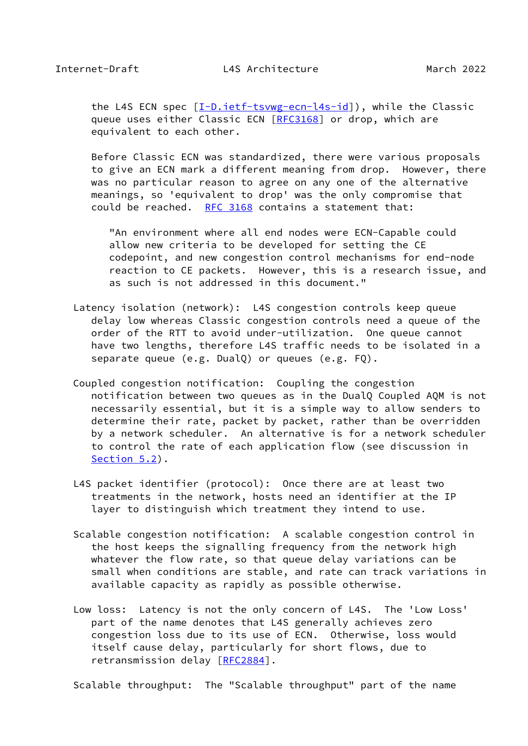the L4S ECN spec [\[I-D.ietf-tsvwg-ecn-l4s-id](#page-42-1)]), while the Classic queue uses either Classic ECN [\[RFC3168](https://datatracker.ietf.org/doc/pdf/rfc3168)] or drop, which are equivalent to each other.

 Before Classic ECN was standardized, there were various proposals to give an ECN mark a different meaning from drop. However, there was no particular reason to agree on any one of the alternative meanings, so 'equivalent to drop' was the only compromise that could be reached. [RFC 3168](https://datatracker.ietf.org/doc/pdf/rfc3168) contains a statement that:

 "An environment where all end nodes were ECN-Capable could allow new criteria to be developed for setting the CE codepoint, and new congestion control mechanisms for end-node reaction to CE packets. However, this is a research issue, and as such is not addressed in this document."

- Latency isolation (network): L4S congestion controls keep queue delay low whereas Classic congestion controls need a queue of the order of the RTT to avoid under-utilization. One queue cannot have two lengths, therefore L4S traffic needs to be isolated in a separate queue (e.g. DualQ) or queues (e.g. FQ).
- Coupled congestion notification: Coupling the congestion notification between two queues as in the DualQ Coupled AQM is not necessarily essential, but it is a simple way to allow senders to determine their rate, packet by packet, rather than be overridden by a network scheduler. An alternative is for a network scheduler to control the rate of each application flow (see discussion in [Section 5.2](#page-19-0)).
- L4S packet identifier (protocol): Once there are at least two treatments in the network, hosts need an identifier at the IP layer to distinguish which treatment they intend to use.
- Scalable congestion notification: A scalable congestion control in the host keeps the signalling frequency from the network high whatever the flow rate, so that queue delay variations can be small when conditions are stable, and rate can track variations in available capacity as rapidly as possible otherwise.
- Low loss: Latency is not the only concern of L4S. The 'Low Loss' part of the name denotes that L4S generally achieves zero congestion loss due to its use of ECN. Otherwise, loss would itself cause delay, particularly for short flows, due to retransmission delay [\[RFC2884](https://datatracker.ietf.org/doc/pdf/rfc2884)].

Scalable throughput: The "Scalable throughput" part of the name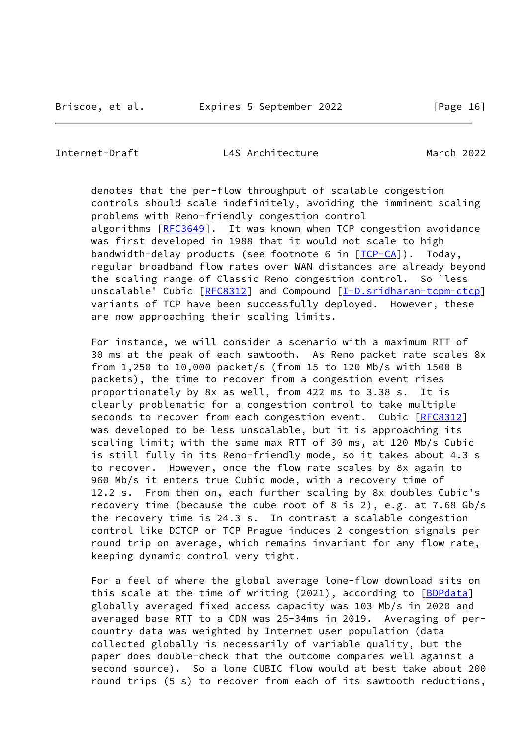denotes that the per-flow throughput of scalable congestion controls should scale indefinitely, avoiding the imminent scaling problems with Reno-friendly congestion control algorithms [[RFC3649](https://datatracker.ietf.org/doc/pdf/rfc3649)]. It was known when TCP congestion avoidance was first developed in 1988 that it would not scale to high bandwidth-delay products (see footnote 6 in [\[TCP-CA](#page-49-1)]). Today, regular broadband flow rates over WAN distances are already beyond the scaling range of Classic Reno congestion control. So `less unscalable' Cubic [\[RFC8312](https://datatracker.ietf.org/doc/pdf/rfc8312)] and Compound [\[I-D.sridharan-tcpm-ctcp](#page-43-0)] variants of TCP have been successfully deployed. However, these are now approaching their scaling limits.

 For instance, we will consider a scenario with a maximum RTT of 30 ms at the peak of each sawtooth. As Reno packet rate scales 8x from 1,250 to 10,000 packet/s (from 15 to 120 Mb/s with 1500 B packets), the time to recover from a congestion event rises proportionately by 8x as well, from 422 ms to 3.38 s. It is clearly problematic for a congestion control to take multiple seconds to recover from each congestion event. Cubic [\[RFC8312](https://datatracker.ietf.org/doc/pdf/rfc8312)] was developed to be less unscalable, but it is approaching its scaling limit; with the same max RTT of 30 ms, at 120 Mb/s Cubic is still fully in its Reno-friendly mode, so it takes about 4.3 s to recover. However, once the flow rate scales by 8x again to 960 Mb/s it enters true Cubic mode, with a recovery time of 12.2 s. From then on, each further scaling by 8x doubles Cubic's recovery time (because the cube root of 8 is 2), e.g. at 7.68 Gb/s the recovery time is 24.3 s. In contrast a scalable congestion control like DCTCP or TCP Prague induces 2 congestion signals per round trip on average, which remains invariant for any flow rate, keeping dynamic control very tight.

 For a feel of where the global average lone-flow download sits on this scale at the time of writing (2021), according to [[BDPdata](#page-39-5)] globally averaged fixed access capacity was 103 Mb/s in 2020 and averaged base RTT to a CDN was 25-34ms in 2019. Averaging of per country data was weighted by Internet user population (data collected globally is necessarily of variable quality, but the paper does double-check that the outcome compares well against a second source). So a lone CUBIC flow would at best take about 200 round trips (5 s) to recover from each of its sawtooth reductions,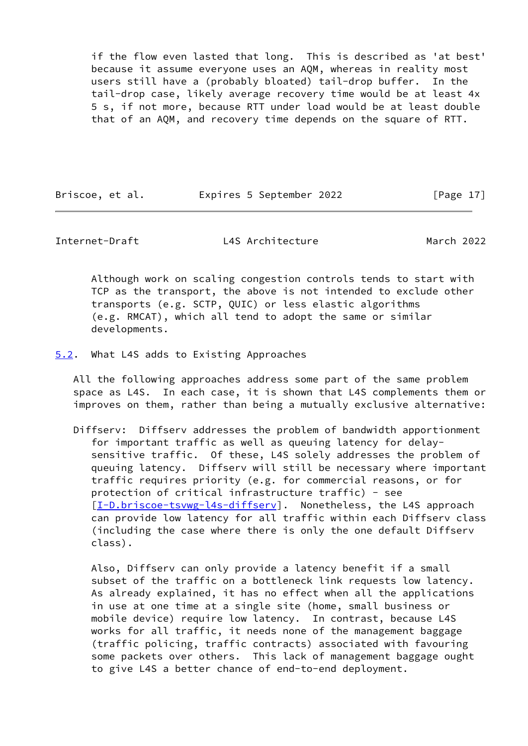if the flow even lasted that long. This is described as 'at best' because it assume everyone uses an AQM, whereas in reality most users still have a (probably bloated) tail-drop buffer. In the tail-drop case, likely average recovery time would be at least 4x 5 s, if not more, because RTT under load would be at least double that of an AQM, and recovery time depends on the square of RTT.

Briscoe, et al. 
Expires 5 September 2022
[Page 17]

<span id="page-19-1"></span>Internet-Draft L4S Architecture March 2022

 Although work on scaling congestion controls tends to start with TCP as the transport, the above is not intended to exclude other transports (e.g. SCTP, QUIC) or less elastic algorithms (e.g. RMCAT), which all tend to adopt the same or similar developments.

<span id="page-19-0"></span>[5.2](#page-19-0). What L4S adds to Existing Approaches

 All the following approaches address some part of the same problem space as L4S. In each case, it is shown that L4S complements them or improves on them, rather than being a mutually exclusive alternative:

 Diffserv: Diffserv addresses the problem of bandwidth apportionment for important traffic as well as queuing latency for delay sensitive traffic. Of these, L4S solely addresses the problem of queuing latency. Diffserv will still be necessary where important traffic requires priority (e.g. for commercial reasons, or for protection of critical infrastructure traffic) - see [[I-D.briscoe-tsvwg-l4s-diffserv](#page-41-2)]. Nonetheless, the L4S approach can provide low latency for all traffic within each Diffserv class (including the case where there is only the one default Diffserv class).

 Also, Diffserv can only provide a latency benefit if a small subset of the traffic on a bottleneck link requests low latency. As already explained, it has no effect when all the applications in use at one time at a single site (home, small business or mobile device) require low latency. In contrast, because L4S works for all traffic, it needs none of the management baggage (traffic policing, traffic contracts) associated with favouring some packets over others. This lack of management baggage ought to give L4S a better chance of end-to-end deployment.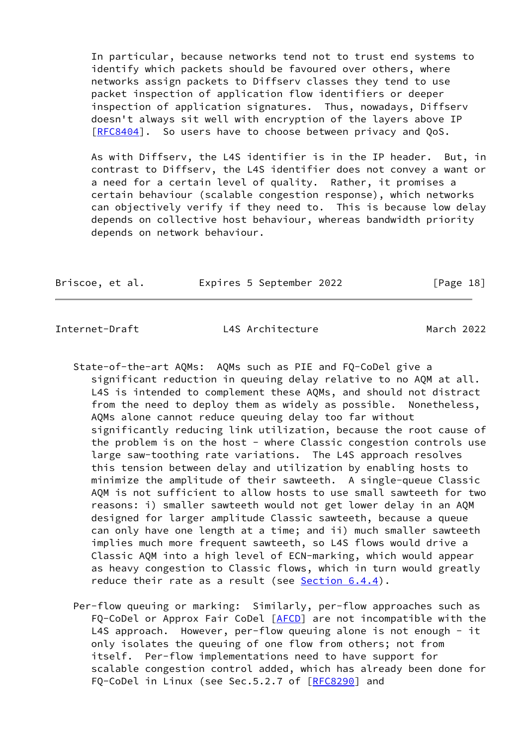In particular, because networks tend not to trust end systems to identify which packets should be favoured over others, where networks assign packets to Diffserv classes they tend to use packet inspection of application flow identifiers or deeper inspection of application signatures. Thus, nowadays, Diffserv doesn't always sit well with encryption of the layers above IP [[RFC8404\]](https://datatracker.ietf.org/doc/pdf/rfc8404). So users have to choose between privacy and QoS.

 As with Diffserv, the L4S identifier is in the IP header. But, in contrast to Diffserv, the L4S identifier does not convey a want or a need for a certain level of quality. Rather, it promises a certain behaviour (scalable congestion response), which networks can objectively verify if they need to. This is because low delay depends on collective host behaviour, whereas bandwidth priority depends on network behaviour.

| Briscoe, et al. | Expires 5 September 2022 |  | [Page 18] |
|-----------------|--------------------------|--|-----------|
|-----------------|--------------------------|--|-----------|

- State-of-the-art AQMs: AQMs such as PIE and FQ-CoDel give a significant reduction in queuing delay relative to no AQM at all. L4S is intended to complement these AQMs, and should not distract from the need to deploy them as widely as possible. Nonetheless, AQMs alone cannot reduce queuing delay too far without significantly reducing link utilization, because the root cause of the problem is on the host - where Classic congestion controls use large saw-toothing rate variations. The L4S approach resolves this tension between delay and utilization by enabling hosts to minimize the amplitude of their sawteeth. A single-queue Classic AQM is not sufficient to allow hosts to use small sawteeth for two reasons: i) smaller sawteeth would not get lower delay in an AQM designed for larger amplitude Classic sawteeth, because a queue can only have one length at a time; and ii) much smaller sawteeth implies much more frequent sawteeth, so L4S flows would drive a Classic AQM into a high level of ECN-marking, which would appear as heavy congestion to Classic flows, which in turn would greatly reduce their rate as a result (see [Section 6.4.4\)](#page-32-0).
- Per-flow queuing or marking: Similarly, per-flow approaches such as FQ-CoDel or Approx Fair CoDel [\[AFCD](#page-39-4)] are not incompatible with the L4S approach. However, per-flow queuing alone is not enough - it only isolates the queuing of one flow from others; not from itself. Per-flow implementations need to have support for scalable congestion control added, which has already been done for FQ-CoDel in Linux (see Sec.5.2.7 of [\[RFC8290](https://datatracker.ietf.org/doc/pdf/rfc8290)] and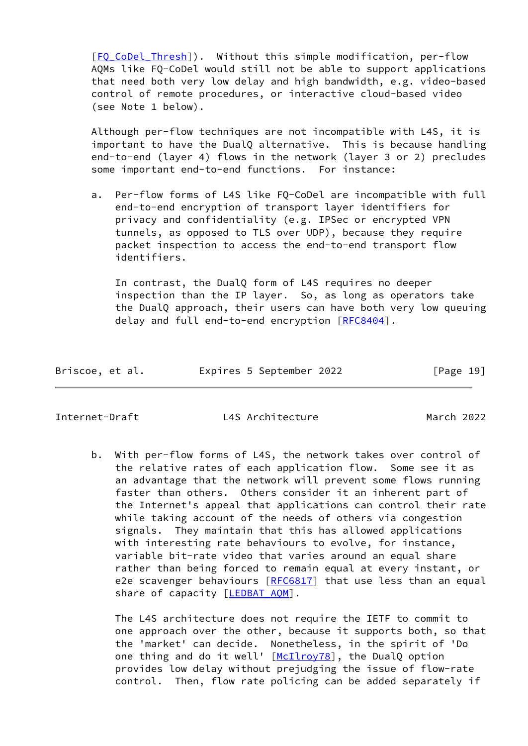[[FQ\\_CoDel\\_Thresh\]](#page-40-6)). Without this simple modification, per-flow AQMs like FQ-CoDel would still not be able to support applications that need both very low delay and high bandwidth, e.g. video-based control of remote procedures, or interactive cloud-based video (see Note 1 below).

 Although per-flow techniques are not incompatible with L4S, it is important to have the DualQ alternative. This is because handling end-to-end (layer 4) flows in the network (layer 3 or 2) precludes some important end-to-end functions. For instance:

 a. Per-flow forms of L4S like FQ-CoDel are incompatible with full end-to-end encryption of transport layer identifiers for privacy and confidentiality (e.g. IPSec or encrypted VPN tunnels, as opposed to TLS over UDP), because they require packet inspection to access the end-to-end transport flow identifiers.

 In contrast, the DualQ form of L4S requires no deeper inspection than the IP layer. So, as long as operators take the DualQ approach, their users can have both very low queuing delay and full end-to-end encryption [\[RFC8404](https://datatracker.ietf.org/doc/pdf/rfc8404)].

| Briscoe, et al.<br>Expires 5 September 2022 | [Page 19] |
|---------------------------------------------|-----------|
|---------------------------------------------|-----------|

Internet-Draft L4S Architecture March 2022

 b. With per-flow forms of L4S, the network takes over control of the relative rates of each application flow. Some see it as an advantage that the network will prevent some flows running faster than others. Others consider it an inherent part of the Internet's appeal that applications can control their rate while taking account of the needs of others via congestion signals. They maintain that this has allowed applications with interesting rate behaviours to evolve, for instance, variable bit-rate video that varies around an equal share rather than being forced to remain equal at every instant, or e2e scavenger behaviours [\[RFC6817](https://datatracker.ietf.org/doc/pdf/rfc6817)] that use less than an equal share of capacity [\[LEDBAT\\_AQM\]](#page-44-3).

 The L4S architecture does not require the IETF to commit to one approach over the other, because it supports both, so that the 'market' can decide. Nonetheless, in the spirit of 'Do one thing and do it well' [\[McIlroy78\]](#page-44-4), the DualQ option provides low delay without prejudging the issue of flow-rate control. Then, flow rate policing can be added separately if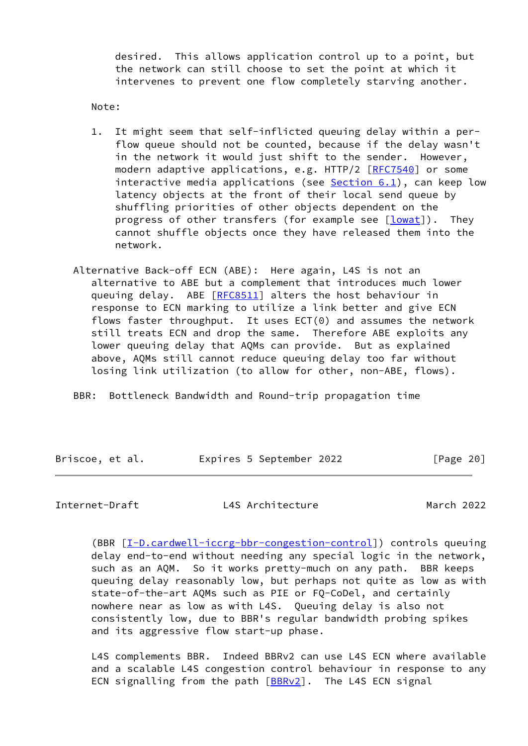desired. This allows application control up to a point, but the network can still choose to set the point at which it intervenes to prevent one flow completely starving another.

Note:

- 1. It might seem that self-inflicted queuing delay within a per flow queue should not be counted, because if the delay wasn't in the network it would just shift to the sender. However, modern adaptive applications, e.g. HTTP/2 [\[RFC7540](https://datatracker.ietf.org/doc/pdf/rfc7540)] or some interactive media applications (see  $Section 6.1$ ), can keep low latency objects at the front of their local send queue by shuffling priorities of other objects dependent on the progress of other transfers (for example see [\[lowat](#page-44-5)]). They cannot shuffle objects once they have released them into the network.
- Alternative Back-off ECN (ABE): Here again, L4S is not an alternative to ABE but a complement that introduces much lower queuing delay. ABE [\[RFC8511](https://datatracker.ietf.org/doc/pdf/rfc8511)] alters the host behaviour in response to ECN marking to utilize a link better and give ECN flows faster throughput. It uses ECT(0) and assumes the network still treats ECN and drop the same. Therefore ABE exploits any lower queuing delay that AQMs can provide. But as explained above, AQMs still cannot reduce queuing delay too far without losing link utilization (to allow for other, non-ABE, flows).

BBR: Bottleneck Bandwidth and Round-trip propagation time

| Briscoe, et al. |  | Expires 5 September 2022 |           |
|-----------------|--|--------------------------|-----------|
|                 |  |                          | [Page 20] |

<span id="page-22-0"></span>Internet-Draft L4S Architecture March 2022

 (BBR [\[I-D.cardwell-iccrg-bbr-congestion-control](#page-42-2)]) controls queuing delay end-to-end without needing any special logic in the network, such as an AQM. So it works pretty-much on any path. BBR keeps queuing delay reasonably low, but perhaps not quite as low as with state-of-the-art AQMs such as PIE or FQ-CoDel, and certainly nowhere near as low as with L4S. Queuing delay is also not consistently low, due to BBR's regular bandwidth probing spikes and its aggressive flow start-up phase.

 L4S complements BBR. Indeed BBRv2 can use L4S ECN where available and a scalable L4S congestion control behaviour in response to any ECN signalling from the path  $[BBRv2]$  $[BBRv2]$ . The L4S ECN signal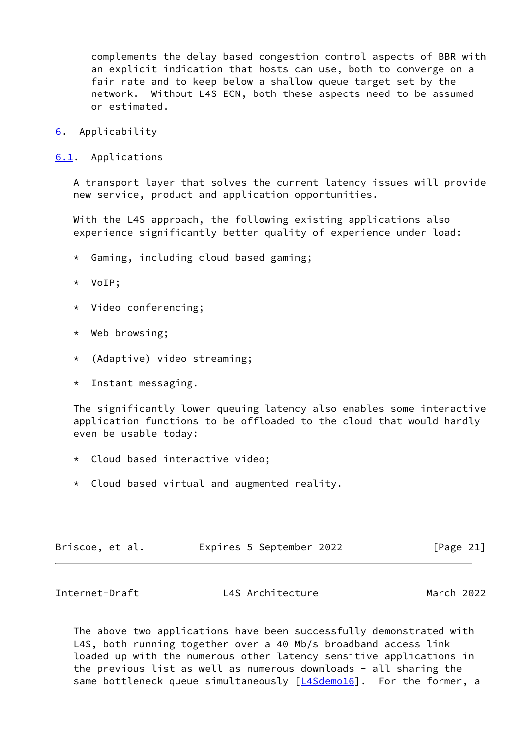complements the delay based congestion control aspects of BBR with an explicit indication that hosts can use, both to converge on a fair rate and to keep below a shallow queue target set by the network. Without L4S ECN, both these aspects need to be assumed or estimated.

- <span id="page-23-0"></span>[6](#page-23-0). Applicability
- <span id="page-23-1"></span>[6.1](#page-23-1). Applications

 A transport layer that solves the current latency issues will provide new service, product and application opportunities.

 With the L4S approach, the following existing applications also experience significantly better quality of experience under load:

- \* Gaming, including cloud based gaming;
- \* VoIP;
- \* Video conferencing;
- \* Web browsing;
- \* (Adaptive) video streaming;
- \* Instant messaging.

 The significantly lower queuing latency also enables some interactive application functions to be offloaded to the cloud that would hardly even be usable today:

- \* Cloud based interactive video;
- \* Cloud based virtual and augmented reality.

| Expires 5 September 2022<br>Briscoe, et al. | [Page 21] |
|---------------------------------------------|-----------|
|---------------------------------------------|-----------|

<span id="page-23-2"></span>Internet-Draft L4S Architecture March 2022

 The above two applications have been successfully demonstrated with L4S, both running together over a 40 Mb/s broadband access link loaded up with the numerous other latency sensitive applications in the previous list as well as numerous downloads - all sharing the same bottleneck queue simultaneously [\[L4Sdemo16\]](#page-43-4). For the former, a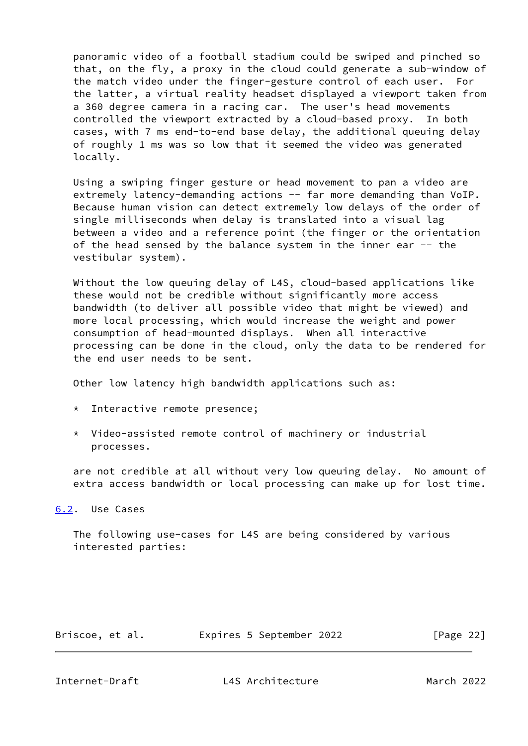panoramic video of a football stadium could be swiped and pinched so that, on the fly, a proxy in the cloud could generate a sub-window of the match video under the finger-gesture control of each user. For the latter, a virtual reality headset displayed a viewport taken from a 360 degree camera in a racing car. The user's head movements controlled the viewport extracted by a cloud-based proxy. In both cases, with 7 ms end-to-end base delay, the additional queuing delay of roughly 1 ms was so low that it seemed the video was generated locally.

 Using a swiping finger gesture or head movement to pan a video are extremely latency-demanding actions -- far more demanding than VoIP. Because human vision can detect extremely low delays of the order of single milliseconds when delay is translated into a visual lag between a video and a reference point (the finger or the orientation of the head sensed by the balance system in the inner ear -- the vestibular system).

 Without the low queuing delay of L4S, cloud-based applications like these would not be credible without significantly more access bandwidth (to deliver all possible video that might be viewed) and more local processing, which would increase the weight and power consumption of head-mounted displays. When all interactive processing can be done in the cloud, only the data to be rendered for the end user needs to be sent.

Other low latency high bandwidth applications such as:

- \* Interactive remote presence;
- \* Video-assisted remote control of machinery or industrial processes.

 are not credible at all without very low queuing delay. No amount of extra access bandwidth or local processing can make up for lost time.

<span id="page-24-0"></span>[6.2](#page-24-0). Use Cases

 The following use-cases for L4S are being considered by various interested parties:

| Briscoe, et al. |  | Expires 5 September 2022 |  | [Page 22] |  |
|-----------------|--|--------------------------|--|-----------|--|
|-----------------|--|--------------------------|--|-----------|--|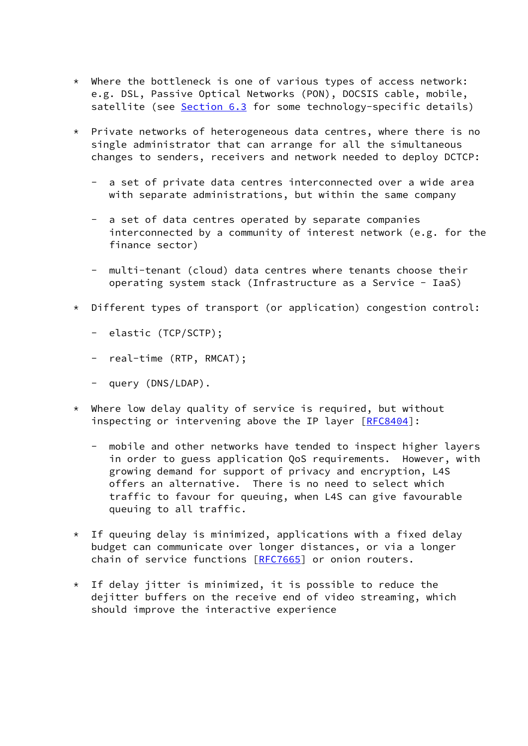- $*$  Where the bottleneck is one of various types of access network: e.g. DSL, Passive Optical Networks (PON), DOCSIS cable, mobile, satellite (see [Section 6.3](#page-26-0) for some technology-specific details)
- \* Private networks of heterogeneous data centres, where there is no single administrator that can arrange for all the simultaneous changes to senders, receivers and network needed to deploy DCTCP:
	- a set of private data centres interconnected over a wide area with separate administrations, but within the same company
	- a set of data centres operated by separate companies interconnected by a community of interest network (e.g. for the finance sector)
	- multi-tenant (cloud) data centres where tenants choose their operating system stack (Infrastructure as a Service - IaaS)
- \* Different types of transport (or application) congestion control:
	- elastic (TCP/SCTP);
	- real-time (RTP, RMCAT);
	- query (DNS/LDAP).
- \* Where low delay quality of service is required, but without inspecting or intervening above the IP layer [\[RFC8404](https://datatracker.ietf.org/doc/pdf/rfc8404)]:
	- mobile and other networks have tended to inspect higher layers in order to guess application QoS requirements. However, with growing demand for support of privacy and encryption, L4S offers an alternative. There is no need to select which traffic to favour for queuing, when L4S can give favourable queuing to all traffic.
- $*$  If queuing delay is minimized, applications with a fixed delay budget can communicate over longer distances, or via a longer chain of service functions [[RFC7665](https://datatracker.ietf.org/doc/pdf/rfc7665)] or onion routers.
- $*$  If delay jitter is minimized, it is possible to reduce the dejitter buffers on the receive end of video streaming, which should improve the interactive experience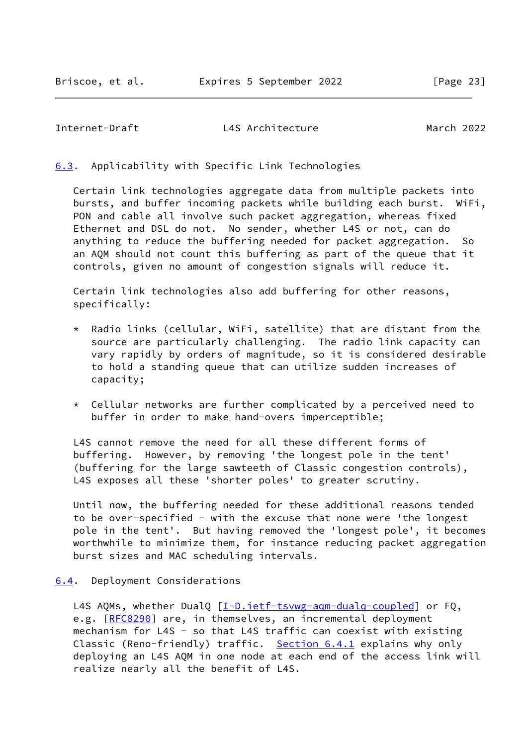## <span id="page-26-1"></span><span id="page-26-0"></span>[6.3](#page-26-0). Applicability with Specific Link Technologies

 Certain link technologies aggregate data from multiple packets into bursts, and buffer incoming packets while building each burst. WiFi, PON and cable all involve such packet aggregation, whereas fixed Ethernet and DSL do not. No sender, whether L4S or not, can do anything to reduce the buffering needed for packet aggregation. So an AQM should not count this buffering as part of the queue that it controls, given no amount of congestion signals will reduce it.

 Certain link technologies also add buffering for other reasons, specifically:

- \* Radio links (cellular, WiFi, satellite) that are distant from the source are particularly challenging. The radio link capacity can vary rapidly by orders of magnitude, so it is considered desirable to hold a standing queue that can utilize sudden increases of capacity;
- \* Cellular networks are further complicated by a perceived need to buffer in order to make hand-overs imperceptible;

 L4S cannot remove the need for all these different forms of buffering. However, by removing 'the longest pole in the tent' (buffering for the large sawteeth of Classic congestion controls), L4S exposes all these 'shorter poles' to greater scrutiny.

 Until now, the buffering needed for these additional reasons tended to be over-specified - with the excuse that none were 'the longest pole in the tent'. But having removed the 'longest pole', it becomes worthwhile to minimize them, for instance reducing packet aggregation burst sizes and MAC scheduling intervals.

## <span id="page-26-2"></span>[6.4](#page-26-2). Deployment Considerations

L4S AQMs, whether DualQ [\[I-D.ietf-tsvwg-aqm-dualq-coupled](#page-42-0)] or FQ, e.g. [\[RFC8290](https://datatracker.ietf.org/doc/pdf/rfc8290)] are, in themselves, an incremental deployment mechanism for L4S - so that L4S traffic can coexist with existing Classic (Reno-friendly) traffic. [Section 6.4.1](#page-27-0) explains why only deploying an L4S AQM in one node at each end of the access link will realize nearly all the benefit of L4S.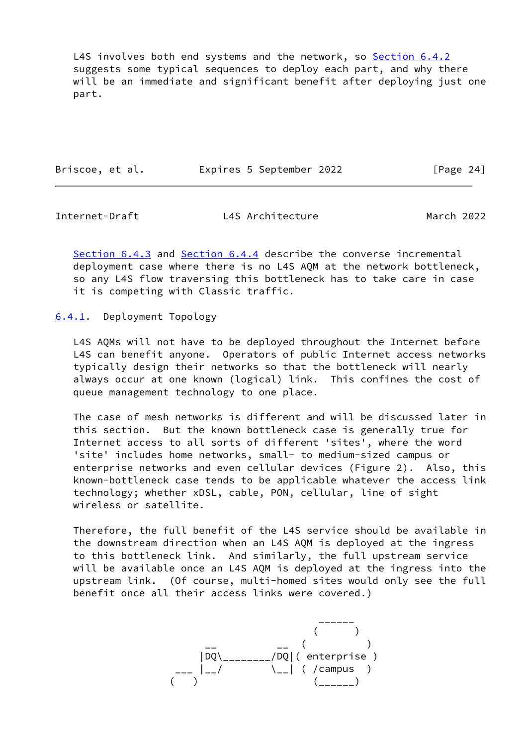L4S involves both end systems and the network, so [Section 6.4.2](#page-28-0) suggests some typical sequences to deploy each part, and why there will be an immediate and significant benefit after deploying just one part.

| Briscoe, et al. |  | Expires 5 September 2022 | [Page 24] |  |
|-----------------|--|--------------------------|-----------|--|
|                 |  |                          |           |  |

<span id="page-27-1"></span>Internet-Draft L4S Architecture March 2022

 [Section 6.4.3](#page-31-0) and [Section 6.4.4](#page-32-0) describe the converse incremental deployment case where there is no L4S AQM at the network bottleneck, so any L4S flow traversing this bottleneck has to take care in case it is competing with Classic traffic.

<span id="page-27-0"></span>[6.4.1](#page-27-0). Deployment Topology

 L4S AQMs will not have to be deployed throughout the Internet before L4S can benefit anyone. Operators of public Internet access networks typically design their networks so that the bottleneck will nearly always occur at one known (logical) link. This confines the cost of queue management technology to one place.

 The case of mesh networks is different and will be discussed later in this section. But the known bottleneck case is generally true for Internet access to all sorts of different 'sites', where the word 'site' includes home networks, small- to medium-sized campus or enterprise networks and even cellular devices (Figure 2). Also, this known-bottleneck case tends to be applicable whatever the access link technology; whether xDSL, cable, PON, cellular, line of sight wireless or satellite.

 Therefore, the full benefit of the L4S service should be available in the downstream direction when an L4S AQM is deployed at the ingress to this bottleneck link. And similarly, the full upstream service will be available once an L4S AQM is deployed at the ingress into the upstream link. (Of course, multi-homed sites would only see the full benefit once all their access links were covered.)

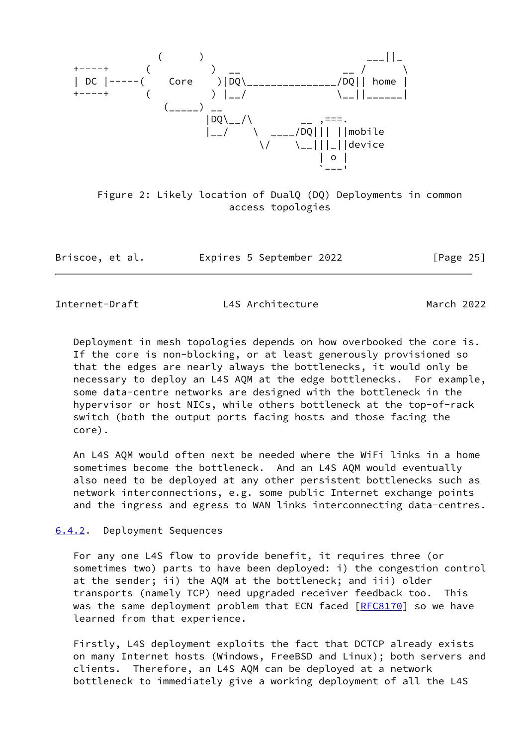

 Figure 2: Likely location of DualQ (DQ) Deployments in common access topologies

| Briscoe, et al. | Expires 5 September 2022 | [Page 25] |
|-----------------|--------------------------|-----------|
|-----------------|--------------------------|-----------|

<span id="page-28-1"></span>

 Deployment in mesh topologies depends on how overbooked the core is. If the core is non-blocking, or at least generously provisioned so that the edges are nearly always the bottlenecks, it would only be necessary to deploy an L4S AQM at the edge bottlenecks. For example, some data-centre networks are designed with the bottleneck in the hypervisor or host NICs, while others bottleneck at the top-of-rack switch (both the output ports facing hosts and those facing the core).

 An L4S AQM would often next be needed where the WiFi links in a home sometimes become the bottleneck. And an L4S AQM would eventually also need to be deployed at any other persistent bottlenecks such as network interconnections, e.g. some public Internet exchange points and the ingress and egress to WAN links interconnecting data-centres.

<span id="page-28-0"></span>[6.4.2](#page-28-0). Deployment Sequences

 For any one L4S flow to provide benefit, it requires three (or sometimes two) parts to have been deployed: i) the congestion control at the sender; ii) the AQM at the bottleneck; and iii) older transports (namely TCP) need upgraded receiver feedback too. This was the same deployment problem that ECN faced [\[RFC8170](https://datatracker.ietf.org/doc/pdf/rfc8170)] so we have learned from that experience.

 Firstly, L4S deployment exploits the fact that DCTCP already exists on many Internet hosts (Windows, FreeBSD and Linux); both servers and clients. Therefore, an L4S AQM can be deployed at a network bottleneck to immediately give a working deployment of all the L4S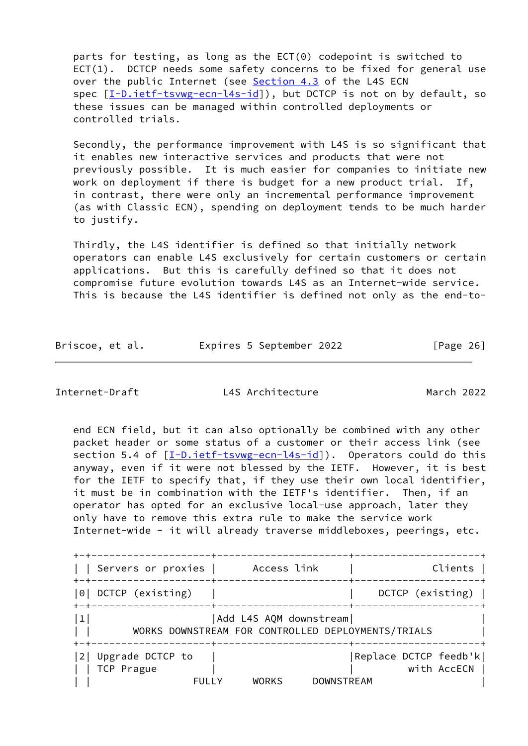parts for testing, as long as the ECT(0) codepoint is switched to ECT(1). DCTCP needs some safety concerns to be fixed for general use over the public Internet (see [Section 4.3](#page-14-0) of the L4S ECN spec [\[I-D.ietf-tsvwg-ecn-l4s-id\]](#page-42-1)), but DCTCP is not on by default, so these issues can be managed within controlled deployments or controlled trials.

 Secondly, the performance improvement with L4S is so significant that it enables new interactive services and products that were not previously possible. It is much easier for companies to initiate new work on deployment if there is budget for a new product trial. If, in contrast, there were only an incremental performance improvement (as with Classic ECN), spending on deployment tends to be much harder to justify.

 Thirdly, the L4S identifier is defined so that initially network operators can enable L4S exclusively for certain customers or certain applications. But this is carefully defined so that it does not compromise future evolution towards L4S as an Internet-wide service. This is because the L4S identifier is defined not only as the end-to-

Briscoe, et al. Expires 5 September 2022 [Page 26]

Internet-Draft L4S Architecture March 2022

 end ECN field, but it can also optionally be combined with any other packet header or some status of a customer or their access link (see section 5.4 of  $[I-D.iett-tswg-ecn-14s-id]$ ). Operators could do this anyway, even if it were not blessed by the IETF. However, it is best for the IETF to specify that, if they use their own local identifier, it must be in combination with the IETF's identifier. Then, if an operator has opted for an exclusive local-use approach, later they only have to remove this extra rule to make the service work Internet-wide - it will already traverse middleboxes, peerings, etc.

| ---------------+-                         |                                                                               |                                       |
|-------------------------------------------|-------------------------------------------------------------------------------|---------------------------------------|
| Servers or proxies                        | Access link<br>------+------                                                  | Clients                               |
| 0 DCTCP (existing)                        |                                                                               | DCTCP (existing)                      |
| 1                                         | Add L4S AQM downstream <br>WORKS DOWNSTREAM FOR CONTROLLED DEPLOYMENTS/TRIALS |                                       |
| 2 Upgrade DCTCP to<br>TCP Prague<br>FULLY | <b>DOWNSTREAM</b><br><b>WORKS</b>                                             | Replace DCTCP feedb'k <br>with AccECN |
|                                           |                                                                               |                                       |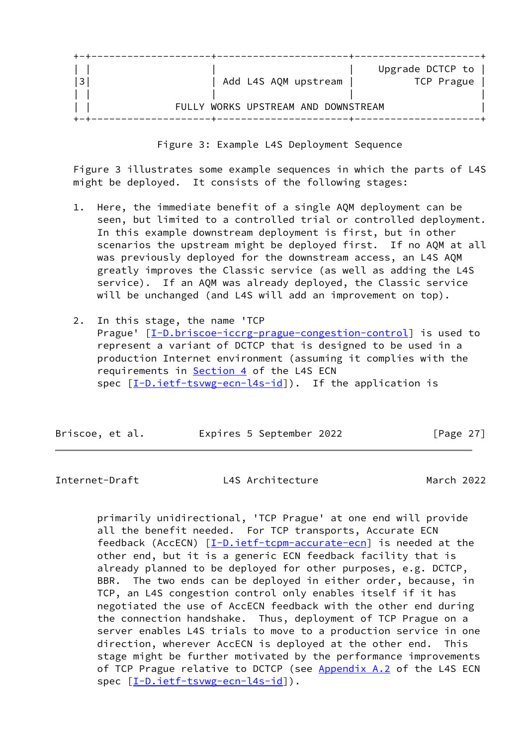|   |                                     | Upgrade DCTCP to |
|---|-------------------------------------|------------------|
| 3 | Add L4S AQM upstream                | TCP Prague       |
|   |                                     |                  |
|   | FULLY WORKS UPSTREAM AND DOWNSTREAM |                  |
|   |                                     |                  |

Figure 3: Example L4S Deployment Sequence

 Figure 3 illustrates some example sequences in which the parts of L4S might be deployed. It consists of the following stages:

- 1. Here, the immediate benefit of a single AQM deployment can be seen, but limited to a controlled trial or controlled deployment. In this example downstream deployment is first, but in other scenarios the upstream might be deployed first. If no AQM at all was previously deployed for the downstream access, an L4S AQM greatly improves the Classic service (as well as adding the L4S service). If an AQM was already deployed, the Classic service will be unchanged (and L4S will add an improvement on top).
- 2. In this stage, the name 'TCP Prague'  $[I-D.briscoe-iccrg-prague-congestion-control]$  $[I-D.briscoe-iccrg-prague-congestion-control]$  is used to represent a variant of DCTCP that is designed to be used in a production Internet environment (assuming it complies with the requirements in [Section 4](#page-9-0) of the L4S ECN spec  $[I-D.iett-tswg-ecn-14s-id]$ ). If the application is

| Briscoe, et al. | Expires 5 September 2022 | [Page 27] |
|-----------------|--------------------------|-----------|
|                 |                          |           |

<span id="page-30-0"></span>Internet-Draft L4S Architecture March 2022

 primarily unidirectional, 'TCP Prague' at one end will provide all the benefit needed. For TCP transports, Accurate ECN feedback (AccECN) [[I-D.ietf-tcpm-accurate-ecn\]](#page-42-3) is needed at the other end, but it is a generic ECN feedback facility that is already planned to be deployed for other purposes, e.g. DCTCP, BBR. The two ends can be deployed in either order, because, in TCP, an L4S congestion control only enables itself if it has negotiated the use of AccECN feedback with the other end during the connection handshake. Thus, deployment of TCP Prague on a server enables L4S trials to move to a production service in one direction, wherever AccECN is deployed at the other end. This stage might be further motivated by the performance improvements of TCP Prague relative to DCTCP (see Appendix A.2 of the L4S ECN spec  $[\underline{I-D.iett-tswwg-ecn-ls-id}]$ ).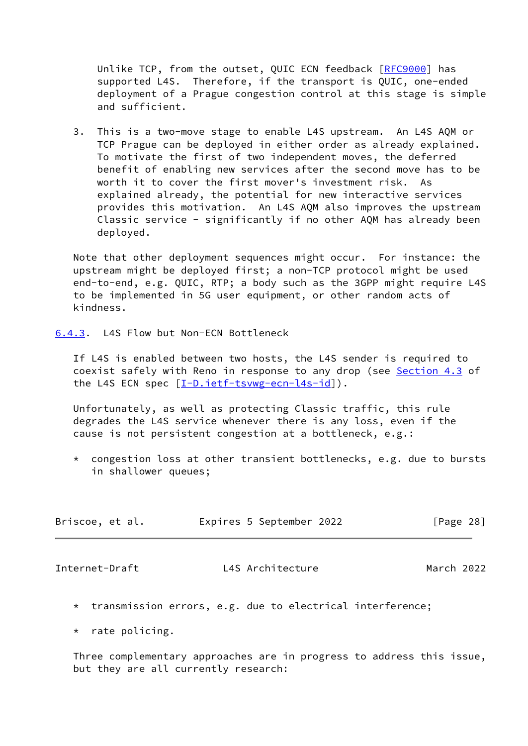Unlike TCP, from the outset, QUIC ECN feedback [[RFC9000\]](https://datatracker.ietf.org/doc/pdf/rfc9000) has supported L4S. Therefore, if the transport is QUIC, one-ended deployment of a Prague congestion control at this stage is simple and sufficient.

 3. This is a two-move stage to enable L4S upstream. An L4S AQM or TCP Prague can be deployed in either order as already explained. To motivate the first of two independent moves, the deferred benefit of enabling new services after the second move has to be worth it to cover the first mover's investment risk. As explained already, the potential for new interactive services provides this motivation. An L4S AQM also improves the upstream Classic service - significantly if no other AQM has already been deployed.

 Note that other deployment sequences might occur. For instance: the upstream might be deployed first; a non-TCP protocol might be used end-to-end, e.g. QUIC, RTP; a body such as the 3GPP might require L4S to be implemented in 5G user equipment, or other random acts of kindness.

<span id="page-31-0"></span>[6.4.3](#page-31-0). L4S Flow but Non-ECN Bottleneck

 If L4S is enabled between two hosts, the L4S sender is required to coexist safely with Reno in response to any drop (see [Section 4.3](#page-14-0) of the L4S ECN spec  $[\underline{I-D.iett-tsvwg-ecn-14s-id}]$ .

 Unfortunately, as well as protecting Classic traffic, this rule degrades the L4S service whenever there is any loss, even if the cause is not persistent congestion at a bottleneck, e.g.:

 \* congestion loss at other transient bottlenecks, e.g. due to bursts in shallower queues;

| Briscoe, et al. |  | Expires 5 September 2022 | [Page 28] |  |
|-----------------|--|--------------------------|-----------|--|
|                 |  |                          |           |  |

<span id="page-31-1"></span>Internet-Draft L4S Architecture March 2022

- \* transmission errors, e.g. due to electrical interference;
- \* rate policing.

 Three complementary approaches are in progress to address this issue, but they are all currently research: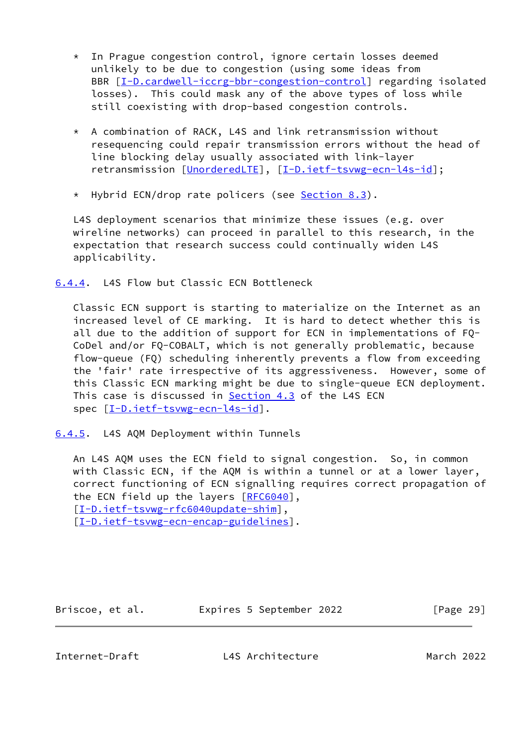- \* In Prague congestion control, ignore certain losses deemed unlikely to be due to congestion (using some ideas from BBR  $[I-D.cardwell-iccrg-bbr-congestion-control] regarding isolated$  $[I-D.cardwell-iccrg-bbr-congestion-control] regarding isolated$  losses). This could mask any of the above types of loss while still coexisting with drop-based congestion controls.
- \* A combination of RACK, L4S and link retransmission without resequencing could repair transmission errors without the head of line blocking delay usually associated with link-layer retransmission [[UnorderedLTE\]](#page-50-1), [[I-D.ietf-tsvwg-ecn-l4s-id\]](#page-42-1);
- \* Hybrid ECN/drop rate policers (see [Section 8.3](#page-36-0)).

 L4S deployment scenarios that minimize these issues (e.g. over wireline networks) can proceed in parallel to this research, in the expectation that research success could continually widen L4S applicability.

<span id="page-32-0"></span>[6.4.4](#page-32-0). L4S Flow but Classic ECN Bottleneck

 Classic ECN support is starting to materialize on the Internet as an increased level of CE marking. It is hard to detect whether this is all due to the addition of support for ECN in implementations of FQ- CoDel and/or FQ-COBALT, which is not generally problematic, because flow-queue (FQ) scheduling inherently prevents a flow from exceeding the 'fair' rate irrespective of its aggressiveness. However, some of this Classic ECN marking might be due to single-queue ECN deployment. This case is discussed in **Section 4.3** of the L4S ECN spec  $[I-D.iett-tswug-ecn-14s-id]$ .

<span id="page-32-1"></span>[6.4.5](#page-32-1). L4S AQM Deployment within Tunnels

 An L4S AQM uses the ECN field to signal congestion. So, in common with Classic ECN, if the AQM is within a tunnel or at a lower layer, correct functioning of ECN signalling requires correct propagation of the ECN field up the layers [\[RFC6040](https://datatracker.ietf.org/doc/pdf/rfc6040)], [\[I-D.ietf-tsvwg-rfc6040update-shim](#page-43-5)], [\[I-D.ietf-tsvwg-ecn-encap-guidelines](#page-42-4)].

Briscoe, et al. 
Expires 5 September 2022

[Page 29]

<span id="page-32-2"></span>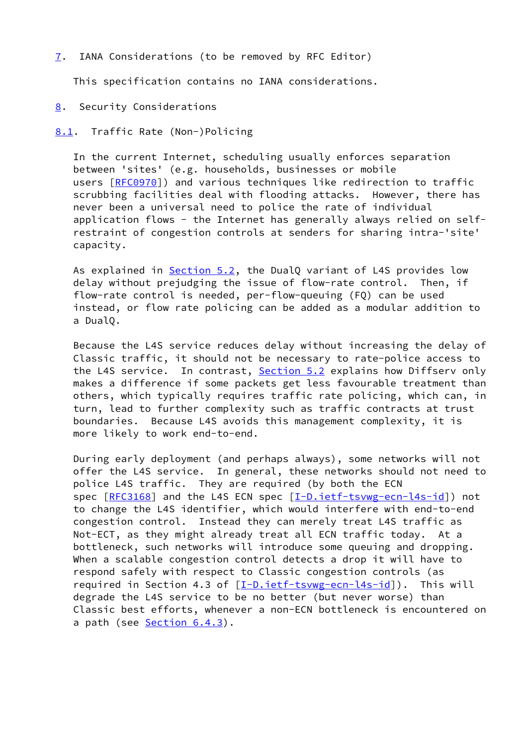## <span id="page-33-0"></span>[7](#page-33-0). IANA Considerations (to be removed by RFC Editor)

This specification contains no IANA considerations.

#### <span id="page-33-1"></span>[8](#page-33-1). Security Considerations

## <span id="page-33-2"></span>[8.1](#page-33-2). Traffic Rate (Non-)Policing

 In the current Internet, scheduling usually enforces separation between 'sites' (e.g. households, businesses or mobile users [[RFC0970](https://datatracker.ietf.org/doc/pdf/rfc0970)]) and various techniques like redirection to traffic scrubbing facilities deal with flooding attacks. However, there has never been a universal need to police the rate of individual application flows - the Internet has generally always relied on self restraint of congestion controls at senders for sharing intra-'site' capacity.

 As explained in [Section 5.2](#page-19-0), the DualQ variant of L4S provides low delay without prejudging the issue of flow-rate control. Then, if flow-rate control is needed, per-flow-queuing (FQ) can be used instead, or flow rate policing can be added as a modular addition to a DualQ.

 Because the L4S service reduces delay without increasing the delay of Classic traffic, it should not be necessary to rate-police access to the L4S service. In contrast, [Section 5.2](#page-19-0) explains how Diffserv only makes a difference if some packets get less favourable treatment than others, which typically requires traffic rate policing, which can, in turn, lead to further complexity such as traffic contracts at trust boundaries. Because L4S avoids this management complexity, it is more likely to work end-to-end.

 During early deployment (and perhaps always), some networks will not offer the L4S service. In general, these networks should not need to police L4S traffic. They are required (by both the ECN spec [\[RFC3168](https://datatracker.ietf.org/doc/pdf/rfc3168)] and the L4S ECN spec [\[I-D.ietf-tsvwg-ecn-l4s-id](#page-42-1)]) not to change the L4S identifier, which would interfere with end-to-end congestion control. Instead they can merely treat L4S traffic as Not-ECT, as they might already treat all ECN traffic today. At a bottleneck, such networks will introduce some queuing and dropping. When a scalable congestion control detects a drop it will have to respond safely with respect to Classic congestion controls (as required in Section 4.3 of  $[I-D.ietf-tswg-ecn-14s-id]$ . This will degrade the L4S service to be no better (but never worse) than Classic best efforts, whenever a non-ECN bottleneck is encountered on a path (see [Section 6.4.3\)](#page-31-0).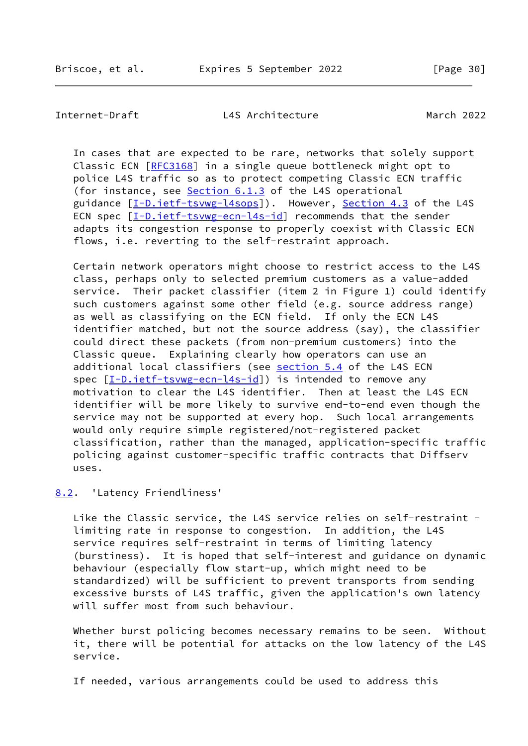<span id="page-34-1"></span>

 In cases that are expected to be rare, networks that solely support Classic ECN [\[RFC3168](https://datatracker.ietf.org/doc/pdf/rfc3168)] in a single queue bottleneck might opt to police L4S traffic so as to protect competing Classic ECN traffic (for instance, see Section 6.1.3 of the L4S operational guidance [\[I-D.ietf-tsvwg-l4sops\]](#page-42-5)). However, [Section 4.3](#page-14-0) of the L4S ECN spec [\[I-D.ietf-tsvwg-ecn-l4s-id\]](#page-42-1) recommends that the sender adapts its congestion response to properly coexist with Classic ECN flows, i.e. reverting to the self-restraint approach.

 Certain network operators might choose to restrict access to the L4S class, perhaps only to selected premium customers as a value-added service. Their packet classifier (item 2 in Figure 1) could identify such customers against some other field (e.g. source address range) as well as classifying on the ECN field. If only the ECN L4S identifier matched, but not the source address (say), the classifier could direct these packets (from non-premium customers) into the Classic queue. Explaining clearly how operators can use an additional local classifiers (see section 5.4 of the L4S ECN spec [\[I-D.ietf-tsvwg-ecn-l4s-id\]](#page-42-1)) is intended to remove any motivation to clear the L4S identifier. Then at least the L4S ECN identifier will be more likely to survive end-to-end even though the service may not be supported at every hop. Such local arrangements would only require simple registered/not-registered packet classification, rather than the managed, application-specific traffic policing against customer-specific traffic contracts that Diffserv uses.

<span id="page-34-0"></span>[8.2](#page-34-0). 'Latency Friendliness'

 Like the Classic service, the L4S service relies on self-restraint limiting rate in response to congestion. In addition, the L4S service requires self-restraint in terms of limiting latency (burstiness). It is hoped that self-interest and guidance on dynamic behaviour (especially flow start-up, which might need to be standardized) will be sufficient to prevent transports from sending excessive bursts of L4S traffic, given the application's own latency will suffer most from such behaviour.

 Whether burst policing becomes necessary remains to be seen. Without it, there will be potential for attacks on the low latency of the L4S service.

If needed, various arrangements could be used to address this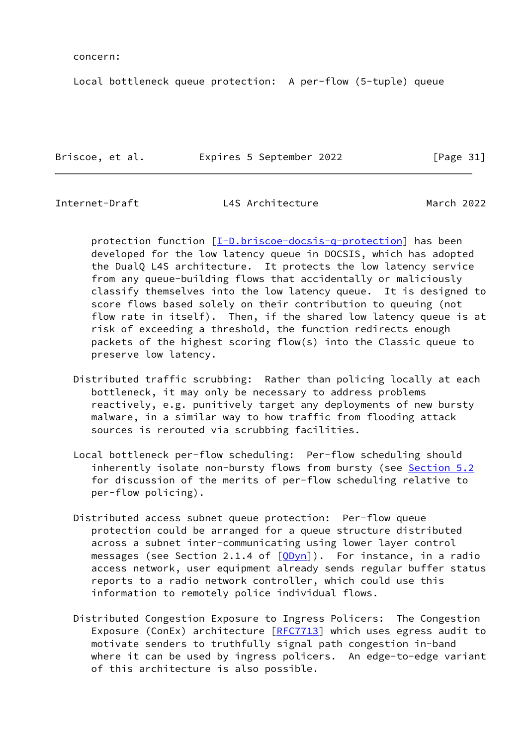concern:

Local bottleneck queue protection: A per-flow (5-tuple) queue

Briscoe, et al. **Expires 5 September 2022** [Page 31]

Internet-Draft L4S Architecture March 2022

protection function  $[I-D.briscoe-docsis-q-protein]$  has been developed for the low latency queue in DOCSIS, which has adopted the DualQ L4S architecture. It protects the low latency service from any queue-building flows that accidentally or maliciously classify themselves into the low latency queue. It is designed to score flows based solely on their contribution to queuing (not flow rate in itself). Then, if the shared low latency queue is at risk of exceeding a threshold, the function redirects enough packets of the highest scoring flow(s) into the Classic queue to preserve low latency.

- Distributed traffic scrubbing: Rather than policing locally at each bottleneck, it may only be necessary to address problems reactively, e.g. punitively target any deployments of new bursty malware, in a similar way to how traffic from flooding attack sources is rerouted via scrubbing facilities.
- Local bottleneck per-flow scheduling: Per-flow scheduling should inherently isolate non-bursty flows from bursty (see [Section 5.2](#page-19-0) for discussion of the merits of per-flow scheduling relative to per-flow policing).
- Distributed access subnet queue protection: Per-flow queue protection could be arranged for a queue structure distributed across a subnet inter-communicating using lower layer control messages (see Section 2.1.4 of  $[QDyn]$  $[QDyn]$ ). For instance, in a radio access network, user equipment already sends regular buffer status reports to a radio network controller, which could use this information to remotely police individual flows.
- Distributed Congestion Exposure to Ingress Policers: The Congestion Exposure (ConEx) architecture [\[RFC7713](https://datatracker.ietf.org/doc/pdf/rfc7713)] which uses egress audit to motivate senders to truthfully signal path congestion in-band where it can be used by ingress policers. An edge-to-edge variant of this architecture is also possible.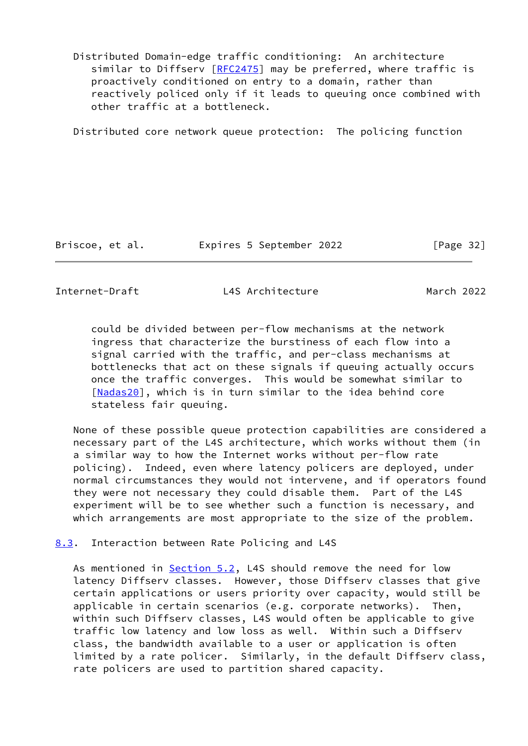Distributed Domain-edge traffic conditioning: An architecture similar to Diffserv [\[RFC2475](https://datatracker.ietf.org/doc/pdf/rfc2475)] may be preferred, where traffic is proactively conditioned on entry to a domain, rather than reactively policed only if it leads to queuing once combined with other traffic at a bottleneck.

Distributed core network queue protection: The policing function

Briscoe, et al. Expires 5 September 2022 [Page 32]

<span id="page-36-1"></span>Internet-Draft L4S Architecture March 2022

 could be divided between per-flow mechanisms at the network ingress that characterize the burstiness of each flow into a signal carried with the traffic, and per-class mechanisms at bottlenecks that act on these signals if queuing actually occurs once the traffic converges. This would be somewhat similar to [[Nadas20\]](#page-44-2), which is in turn similar to the idea behind core stateless fair queuing.

 None of these possible queue protection capabilities are considered a necessary part of the L4S architecture, which works without them (in a similar way to how the Internet works without per-flow rate policing). Indeed, even where latency policers are deployed, under normal circumstances they would not intervene, and if operators found they were not necessary they could disable them. Part of the L4S experiment will be to see whether such a function is necessary, and which arrangements are most appropriate to the size of the problem.

<span id="page-36-0"></span>[8.3](#page-36-0). Interaction between Rate Policing and L4S

As mentioned in [Section 5.2](#page-19-0), L4S should remove the need for low latency Diffserv classes. However, those Diffserv classes that give certain applications or users priority over capacity, would still be applicable in certain scenarios (e.g. corporate networks). Then, within such Diffserv classes, L4S would often be applicable to give traffic low latency and low loss as well. Within such a Diffserv class, the bandwidth available to a user or application is often limited by a rate policer. Similarly, in the default Diffserv class, rate policers are used to partition shared capacity.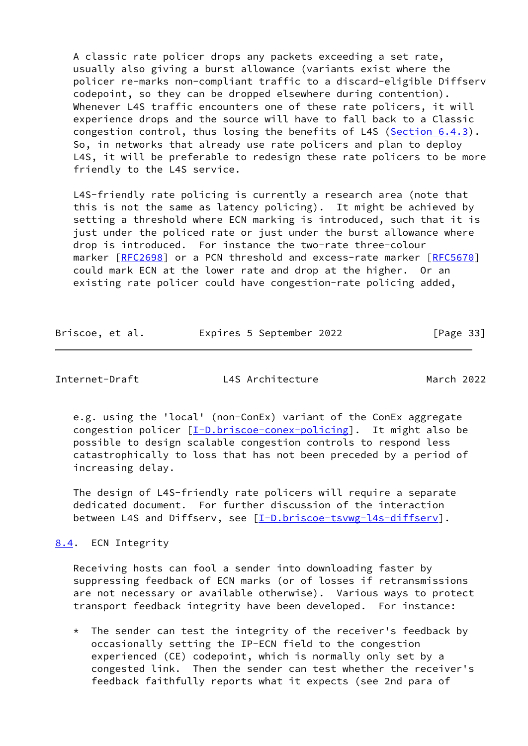A classic rate policer drops any packets exceeding a set rate, usually also giving a burst allowance (variants exist where the policer re-marks non-compliant traffic to a discard-eligible Diffserv codepoint, so they can be dropped elsewhere during contention). Whenever L4S traffic encounters one of these rate policers, it will experience drops and the source will have to fall back to a Classic congestion control, thus losing the benefits of L4S [\(Section 6.4.3](#page-31-0)). So, in networks that already use rate policers and plan to deploy L4S, it will be preferable to redesign these rate policers to be more friendly to the L4S service.

 L4S-friendly rate policing is currently a research area (note that this is not the same as latency policing). It might be achieved by setting a threshold where ECN marking is introduced, such that it is just under the policed rate or just under the burst allowance where drop is introduced. For instance the two-rate three-colour marker [\[RFC2698](https://datatracker.ietf.org/doc/pdf/rfc2698)] or a PCN threshold and excess-rate marker [[RFC5670\]](https://datatracker.ietf.org/doc/pdf/rfc5670) could mark ECN at the lower rate and drop at the higher. Or an existing rate policer could have congestion-rate policing added,

| Briscoe, et al. | Expires 5 September 2022 | [Page 33] |  |
|-----------------|--------------------------|-----------|--|
|                 |                          |           |  |

<span id="page-37-1"></span>Internet-Draft L4S Architecture March 2022

 e.g. using the 'local' (non-ConEx) variant of the ConEx aggregate congestion policer [[I-D.briscoe-conex-policing\]](#page-41-4). It might also be possible to design scalable congestion controls to respond less catastrophically to loss that has not been preceded by a period of increasing delay.

 The design of L4S-friendly rate policers will require a separate dedicated document. For further discussion of the interaction between L4S and Diffserv, see [[I-D.briscoe-tsvwg-l4s-diffserv](#page-41-2)].

<span id="page-37-0"></span>[8.4](#page-37-0). ECN Integrity

 Receiving hosts can fool a sender into downloading faster by suppressing feedback of ECN marks (or of losses if retransmissions are not necessary or available otherwise). Various ways to protect transport feedback integrity have been developed. For instance:

 \* The sender can test the integrity of the receiver's feedback by occasionally setting the IP-ECN field to the congestion experienced (CE) codepoint, which is normally only set by a congested link. Then the sender can test whether the receiver's feedback faithfully reports what it expects (see 2nd para of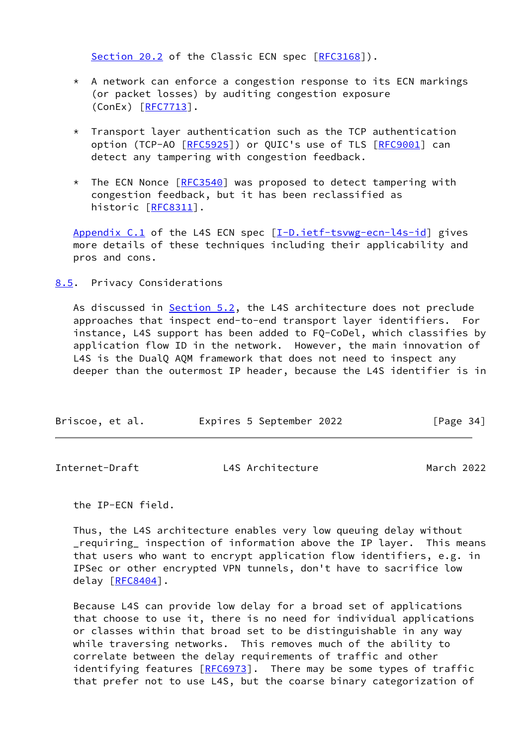Section 20.2 of the Classic ECN spec [\[RFC3168](https://datatracker.ietf.org/doc/pdf/rfc3168)]).

- \* A network can enforce a congestion response to its ECN markings (or packet losses) by auditing congestion exposure  $(ConEx)$   $[RFC7713]$ .
- \* Transport layer authentication such as the TCP authentication option (TCP-AO [[RFC5925](https://datatracker.ietf.org/doc/pdf/rfc5925)]) or QUIC's use of TLS [[RFC9001](https://datatracker.ietf.org/doc/pdf/rfc9001)] can detect any tampering with congestion feedback.
- \* The ECN Nonce [\[RFC3540](https://datatracker.ietf.org/doc/pdf/rfc3540)] was proposed to detect tampering with congestion feedback, but it has been reclassified as historic [\[RFC8311](https://datatracker.ietf.org/doc/pdf/rfc8311)].

Appendix C.1 of the L4S ECN spec [\[I-D.ietf-tsvwg-ecn-l4s-id\]](#page-42-1) gives more details of these techniques including their applicability and pros and cons.

<span id="page-38-0"></span>[8.5](#page-38-0). Privacy Considerations

As discussed in [Section 5.2](#page-19-0), the L4S architecture does not preclude approaches that inspect end-to-end transport layer identifiers. For instance, L4S support has been added to FQ-CoDel, which classifies by application flow ID in the network. However, the main innovation of L4S is the DualQ AQM framework that does not need to inspect any deeper than the outermost IP header, because the L4S identifier is in

| Briscoe, et al. | Expires 5 September 2022 | [Page $34$ ] |
|-----------------|--------------------------|--------------|
|-----------------|--------------------------|--------------|

<span id="page-38-1"></span>

| Internet-Draft | L4S Architecture | March 2022 |  |
|----------------|------------------|------------|--|
|                |                  |            |  |

the IP-ECN field.

 Thus, the L4S architecture enables very low queuing delay without \_requiring\_ inspection of information above the IP layer. This means that users who want to encrypt application flow identifiers, e.g. in IPSec or other encrypted VPN tunnels, don't have to sacrifice low delay [[RFC8404](https://datatracker.ietf.org/doc/pdf/rfc8404)].

 Because L4S can provide low delay for a broad set of applications that choose to use it, there is no need for individual applications or classes within that broad set to be distinguishable in any way while traversing networks. This removes much of the ability to correlate between the delay requirements of traffic and other identifying features  $[REC6973]$ . There may be some types of traffic that prefer not to use L4S, but the coarse binary categorization of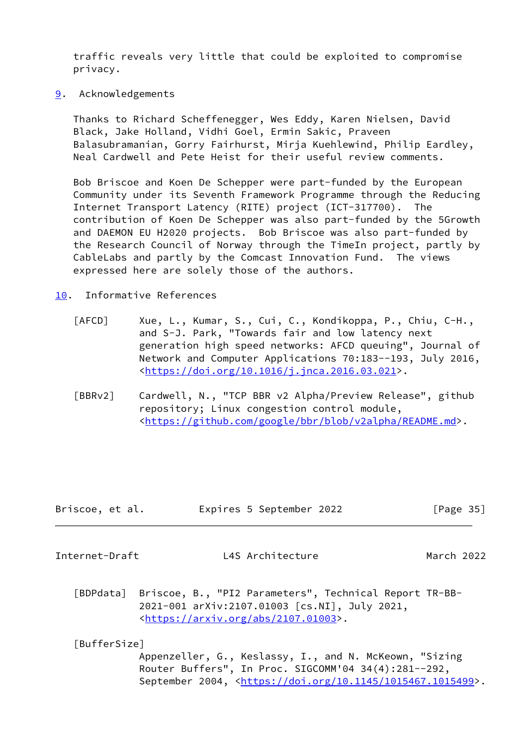traffic reveals very little that could be exploited to compromise privacy.

<span id="page-39-0"></span>[9](#page-39-0). Acknowledgements

 Thanks to Richard Scheffenegger, Wes Eddy, Karen Nielsen, David Black, Jake Holland, Vidhi Goel, Ermin Sakic, Praveen Balasubramanian, Gorry Fairhurst, Mirja Kuehlewind, Philip Eardley, Neal Cardwell and Pete Heist for their useful review comments.

 Bob Briscoe and Koen De Schepper were part-funded by the European Community under its Seventh Framework Programme through the Reducing Internet Transport Latency (RITE) project (ICT-317700). The contribution of Koen De Schepper was also part-funded by the 5Growth and DAEMON EU H2020 projects. Bob Briscoe was also part-funded by the Research Council of Norway through the TimeIn project, partly by CableLabs and partly by the Comcast Innovation Fund. The views expressed here are solely those of the authors.

- <span id="page-39-4"></span><span id="page-39-3"></span><span id="page-39-1"></span>[10.](#page-39-1) Informative References
	- [AFCD] Xue, L., Kumar, S., Cui, C., Kondikoppa, P., Chiu, C-H., and S-J. Park, "Towards fair and low latency next generation high speed networks: AFCD queuing", Journal of Network and Computer Applications 70:183--193, July 2016, <[https://doi.org/10.1016/j.jnca.2016.03.021>](https://doi.org/10.1016/j.jnca.2016.03.021).
	- [BBRv2] Cardwell, N., "TCP BBR v2 Alpha/Preview Release", github repository; Linux congestion control module, <[https://github.com/google/bbr/blob/v2alpha/README.md>](https://github.com/google/bbr/blob/v2alpha/README.md).

| Briscoe, et al. | Expires 5 September 2022 | [Page 35] |
|-----------------|--------------------------|-----------|
|                 |                          |           |

Internet-Draft L4S Architecture March 2022

<span id="page-39-5"></span> [BDPdata] Briscoe, B., "PI2 Parameters", Technical Report TR-BB- 2021-001 arXiv:2107.01003 [cs.NI], July 2021, <[https://arxiv.org/abs/2107.01003>](https://arxiv.org/abs/2107.01003).

## <span id="page-39-2"></span>[BufferSize]

 Appenzeller, G., Keslassy, I., and N. McKeown, "Sizing Router Buffers", In Proc. SIGCOMM'04 34(4):281--292, September 2004, <[https://doi.org/10.1145/1015467.1015499>](https://doi.org/10.1145/1015467.1015499).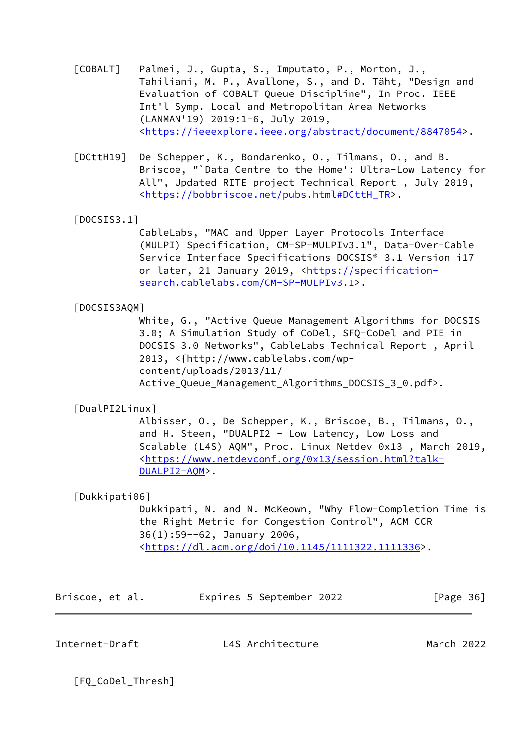- <span id="page-40-0"></span> [COBALT] Palmei, J., Gupta, S., Imputato, P., Morton, J., Tahiliani, M. P., Avallone, S., and D. Täht, "Design and Evaluation of COBALT Queue Discipline", In Proc. IEEE Int'l Symp. Local and Metropolitan Area Networks (LANMAN'19) 2019:1-6, July 2019, <[https://ieeexplore.ieee.org/abstract/document/8847054>](https://ieeexplore.ieee.org/abstract/document/8847054).
- <span id="page-40-4"></span> [DCttH19] De Schepper, K., Bondarenko, O., Tilmans, O., and B. Briscoe, "`Data Centre to the Home': Ultra-Low Latency for All", Updated RITE project Technical Report , July 2019, <[https://bobbriscoe.net/pubs.html#DCttH\\_TR>](https://bobbriscoe.net/pubs.html#DCttH_TR).
- <span id="page-40-5"></span>[DOCSIS3.1]

 CableLabs, "MAC and Upper Layer Protocols Interface (MULPI) Specification, CM-SP-MULPIv3.1", Data-Over-Cable Service Interface Specifications DOCSIS® 3.1 Version i17 or later, 21 January 2019, <[https://specification](https://specification-search.cablelabs.com/CM-SP-MULPIv3.1) [search.cablelabs.com/CM-SP-MULPIv3.1>](https://specification-search.cablelabs.com/CM-SP-MULPIv3.1).

## <span id="page-40-1"></span>[DOCSIS3AQM]

 White, G., "Active Queue Management Algorithms for DOCSIS 3.0; A Simulation Study of CoDel, SFQ-CoDel and PIE in DOCSIS 3.0 Networks", CableLabs Technical Report , April 2013, <{http://www.cablelabs.com/wp content/uploads/2013/11/ Active\_Queue\_Management\_Algorithms\_DOCSIS\_3\_0.pdf>.

## <span id="page-40-3"></span>[DualPI2Linux]

 Albisser, O., De Schepper, K., Briscoe, B., Tilmans, O., and H. Steen, "DUALPI2 - Low Latency, Low Loss and Scalable (L4S) AQM", Proc. Linux Netdev 0x13 , March 2019, <[https://www.netdevconf.org/0x13/session.html?talk-](https://www.netdevconf.org/0x13/session.html?talk-DUALPI2-AQM) [DUALPI2-AQM](https://www.netdevconf.org/0x13/session.html?talk-DUALPI2-AQM)>.

# <span id="page-40-2"></span>[Dukkipati06]

 Dukkipati, N. and N. McKeown, "Why Flow-Completion Time is the Right Metric for Congestion Control", ACM CCR 36(1):59--62, January 2006, <<https://dl.acm.org/doi/10.1145/1111322.1111336>>.

| Briscoe, et al. |  |  | Expires 5 September 2022 |  | [Page 36] |  |
|-----------------|--|--|--------------------------|--|-----------|--|
|-----------------|--|--|--------------------------|--|-----------|--|

Internet-Draft L4S Architecture March 2022

<span id="page-40-6"></span>[FQ\_CoDel\_Thresh]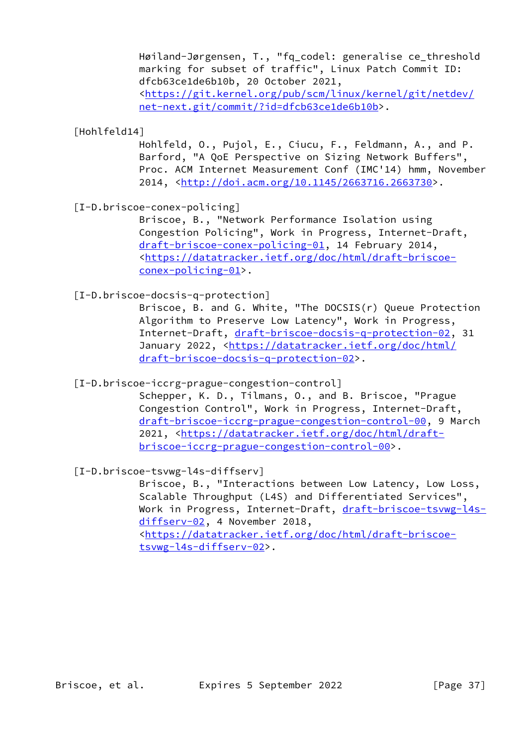Høiland-Jørgensen, T., "fq\_codel: generalise ce\_threshold marking for subset of traffic", Linux Patch Commit ID: dfcb63ce1de6b10b, 20 October 2021, <[https://git.kernel.org/pub/scm/linux/kernel/git/netdev/](https://git.kernel.org/pub/scm/linux/kernel/git/netdev/net-next.git/commit/?id=dfcb63ce1de6b10b) [net-next.git/commit/?id=dfcb63ce1de6b10b>](https://git.kernel.org/pub/scm/linux/kernel/git/netdev/net-next.git/commit/?id=dfcb63ce1de6b10b).

<span id="page-41-0"></span>[Hohlfeld14]

 Hohlfeld, O., Pujol, E., Ciucu, F., Feldmann, A., and P. Barford, "A QoE Perspective on Sizing Network Buffers", Proc. ACM Internet Measurement Conf (IMC'14) hmm, November 2014, [<http://doi.acm.org/10.1145/2663716.2663730>](http://doi.acm.org/10.1145/2663716.2663730).

<span id="page-41-4"></span>[I-D.briscoe-conex-policing]

 Briscoe, B., "Network Performance Isolation using Congestion Policing", Work in Progress, Internet-Draft, [draft-briscoe-conex-policing-01](https://datatracker.ietf.org/doc/pdf/draft-briscoe-conex-policing-01), 14 February 2014, <[https://datatracker.ietf.org/doc/html/draft-briscoe](https://datatracker.ietf.org/doc/html/draft-briscoe-conex-policing-01) [conex-policing-01>](https://datatracker.ietf.org/doc/html/draft-briscoe-conex-policing-01).

<span id="page-41-3"></span>[I-D.briscoe-docsis-q-protection]

 Briscoe, B. and G. White, "The DOCSIS(r) Queue Protection Algorithm to Preserve Low Latency", Work in Progress, Internet-Draft, [draft-briscoe-docsis-q-protection-02,](https://datatracker.ietf.org/doc/pdf/draft-briscoe-docsis-q-protection-02) 31 January 2022, [<https://datatracker.ietf.org/doc/html/](https://datatracker.ietf.org/doc/html/draft-briscoe-docsis-q-protection-02) [draft-briscoe-docsis-q-protection-02>](https://datatracker.ietf.org/doc/html/draft-briscoe-docsis-q-protection-02).

<span id="page-41-1"></span>[I-D.briscoe-iccrg-prague-congestion-control]

 Schepper, K. D., Tilmans, O., and B. Briscoe, "Prague Congestion Control", Work in Progress, Internet-Draft, [draft-briscoe-iccrg-prague-congestion-control-00,](https://datatracker.ietf.org/doc/pdf/draft-briscoe-iccrg-prague-congestion-control-00) 9 March 2021, [<https://datatracker.ietf.org/doc/html/draft](https://datatracker.ietf.org/doc/html/draft-briscoe-iccrg-prague-congestion-control-00) [briscoe-iccrg-prague-congestion-control-00>](https://datatracker.ietf.org/doc/html/draft-briscoe-iccrg-prague-congestion-control-00).

<span id="page-41-2"></span>[I-D.briscoe-tsvwg-l4s-diffserv]

 Briscoe, B., "Interactions between Low Latency, Low Loss, Scalable Throughput (L4S) and Differentiated Services", Work in Progress, Internet-Draft, [draft-briscoe-tsvwg-l4s](https://datatracker.ietf.org/doc/pdf/draft-briscoe-tsvwg-l4s-diffserv-02) [diffserv-02](https://datatracker.ietf.org/doc/pdf/draft-briscoe-tsvwg-l4s-diffserv-02), 4 November 2018, <[https://datatracker.ietf.org/doc/html/draft-briscoe](https://datatracker.ietf.org/doc/html/draft-briscoe-tsvwg-l4s-diffserv-02) [tsvwg-l4s-diffserv-02>](https://datatracker.ietf.org/doc/html/draft-briscoe-tsvwg-l4s-diffserv-02).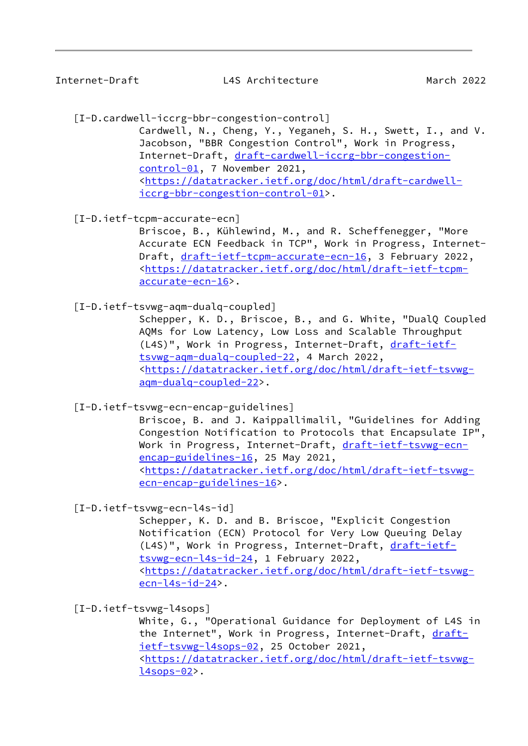<span id="page-42-2"></span>[I-D.cardwell-iccrg-bbr-congestion-control]

 Cardwell, N., Cheng, Y., Yeganeh, S. H., Swett, I., and V. Jacobson, "BBR Congestion Control", Work in Progress, Internet-Draft, [draft-cardwell-iccrg-bbr-congestion](https://datatracker.ietf.org/doc/pdf/draft-cardwell-iccrg-bbr-congestion-control-01) [control-01,](https://datatracker.ietf.org/doc/pdf/draft-cardwell-iccrg-bbr-congestion-control-01) 7 November 2021, <[https://datatracker.ietf.org/doc/html/draft-cardwell](https://datatracker.ietf.org/doc/html/draft-cardwell-iccrg-bbr-congestion-control-01) [iccrg-bbr-congestion-control-01](https://datatracker.ietf.org/doc/html/draft-cardwell-iccrg-bbr-congestion-control-01)>.

<span id="page-42-3"></span>[I-D.ietf-tcpm-accurate-ecn]

 Briscoe, B., Kühlewind, M., and R. Scheffenegger, "More Accurate ECN Feedback in TCP", Work in Progress, Internet Draft, [draft-ietf-tcpm-accurate-ecn-16](https://datatracker.ietf.org/doc/pdf/draft-ietf-tcpm-accurate-ecn-16), 3 February 2022, <[https://datatracker.ietf.org/doc/html/draft-ietf-tcpm](https://datatracker.ietf.org/doc/html/draft-ietf-tcpm-accurate-ecn-16) [accurate-ecn-16](https://datatracker.ietf.org/doc/html/draft-ietf-tcpm-accurate-ecn-16)>.

<span id="page-42-0"></span>[I-D.ietf-tsvwg-aqm-dualq-coupled]

 Schepper, K. D., Briscoe, B., and G. White, "DualQ Coupled AQMs for Low Latency, Low Loss and Scalable Throughput (L4S)", Work in Progress, Internet-Draft, [draft-ietf](https://datatracker.ietf.org/doc/pdf/draft-ietf-tsvwg-aqm-dualq-coupled-22) [tsvwg-aqm-dualq-coupled-22,](https://datatracker.ietf.org/doc/pdf/draft-ietf-tsvwg-aqm-dualq-coupled-22) 4 March 2022, <[https://datatracker.ietf.org/doc/html/draft-ietf-tsvwg](https://datatracker.ietf.org/doc/html/draft-ietf-tsvwg-aqm-dualq-coupled-22) [aqm-dualq-coupled-22>](https://datatracker.ietf.org/doc/html/draft-ietf-tsvwg-aqm-dualq-coupled-22).

<span id="page-42-4"></span>[I-D.ietf-tsvwg-ecn-encap-guidelines]

 Briscoe, B. and J. Kaippallimalil, "Guidelines for Adding Congestion Notification to Protocols that Encapsulate IP", Work in Progress, Internet-Draft, [draft-ietf-tsvwg-ecn](https://datatracker.ietf.org/doc/pdf/draft-ietf-tsvwg-ecn-encap-guidelines-16) [encap-guidelines-16](https://datatracker.ietf.org/doc/pdf/draft-ietf-tsvwg-ecn-encap-guidelines-16), 25 May 2021, <[https://datatracker.ietf.org/doc/html/draft-ietf-tsvwg](https://datatracker.ietf.org/doc/html/draft-ietf-tsvwg-ecn-encap-guidelines-16) [ecn-encap-guidelines-16](https://datatracker.ietf.org/doc/html/draft-ietf-tsvwg-ecn-encap-guidelines-16)>.

<span id="page-42-1"></span>[I-D.ietf-tsvwg-ecn-l4s-id]

 Schepper, K. D. and B. Briscoe, "Explicit Congestion Notification (ECN) Protocol for Very Low Queuing Delay (L4S)", Work in Progress, Internet-Draft, [draft-ietf](https://datatracker.ietf.org/doc/pdf/draft-ietf-tsvwg-ecn-l4s-id-24) [tsvwg-ecn-l4s-id-24](https://datatracker.ietf.org/doc/pdf/draft-ietf-tsvwg-ecn-l4s-id-24), 1 February 2022, <[https://datatracker.ietf.org/doc/html/draft-ietf-tsvwg](https://datatracker.ietf.org/doc/html/draft-ietf-tsvwg-ecn-l4s-id-24) [ecn-l4s-id-24>](https://datatracker.ietf.org/doc/html/draft-ietf-tsvwg-ecn-l4s-id-24).

<span id="page-42-5"></span>[I-D.ietf-tsvwg-l4sops]

 White, G., "Operational Guidance for Deployment of L4S in the Internet", Work in Progress, Internet-Draft, [draft](https://datatracker.ietf.org/doc/pdf/draft-ietf-tsvwg-l4sops-02) [ietf-tsvwg-l4sops-02,](https://datatracker.ietf.org/doc/pdf/draft-ietf-tsvwg-l4sops-02) 25 October 2021, <[https://datatracker.ietf.org/doc/html/draft-ietf-tsvwg](https://datatracker.ietf.org/doc/html/draft-ietf-tsvwg-l4sops-02)  $l4$ sops-02>.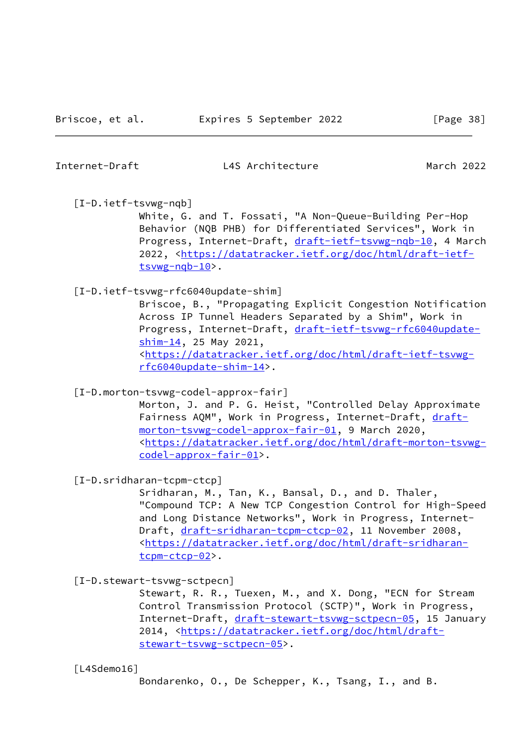## <span id="page-43-1"></span>[I-D.ietf-tsvwg-nqb]

 White, G. and T. Fossati, "A Non-Queue-Building Per-Hop Behavior (NQB PHB) for Differentiated Services", Work in Progress, Internet-Draft, [draft-ietf-tsvwg-nqb-10](https://datatracker.ietf.org/doc/pdf/draft-ietf-tsvwg-nqb-10), 4 March 2022, [<https://datatracker.ietf.org/doc/html/draft-ietf](https://datatracker.ietf.org/doc/html/draft-ietf-tsvwg-nqb-10) [tsvwg-nqb-10>](https://datatracker.ietf.org/doc/html/draft-ietf-tsvwg-nqb-10).

## <span id="page-43-5"></span>[I-D.ietf-tsvwg-rfc6040update-shim]

 Briscoe, B., "Propagating Explicit Congestion Notification Across IP Tunnel Headers Separated by a Shim", Work in Progress, Internet-Draft, [draft-ietf-tsvwg-rfc6040update](https://datatracker.ietf.org/doc/pdf/draft-ietf-tsvwg-rfc6040update-shim-14) [shim-14](https://datatracker.ietf.org/doc/pdf/draft-ietf-tsvwg-rfc6040update-shim-14), 25 May 2021, <[https://datatracker.ietf.org/doc/html/draft-ietf-tsvwg](https://datatracker.ietf.org/doc/html/draft-ietf-tsvwg-rfc6040update-shim-14) [rfc6040update-shim-14>](https://datatracker.ietf.org/doc/html/draft-ietf-tsvwg-rfc6040update-shim-14).

<span id="page-43-2"></span>[I-D.morton-tsvwg-codel-approx-fair]

 Morton, J. and P. G. Heist, "Controlled Delay Approximate Fairness AQM", Work in Progress, Internet-Draft, [draft](https://datatracker.ietf.org/doc/pdf/draft-morton-tsvwg-codel-approx-fair-01) [morton-tsvwg-codel-approx-fair-01,](https://datatracker.ietf.org/doc/pdf/draft-morton-tsvwg-codel-approx-fair-01) 9 March 2020, <[https://datatracker.ietf.org/doc/html/draft-morton-tsvwg](https://datatracker.ietf.org/doc/html/draft-morton-tsvwg-codel-approx-fair-01) [codel-approx-fair-01>](https://datatracker.ietf.org/doc/html/draft-morton-tsvwg-codel-approx-fair-01).

<span id="page-43-0"></span>[I-D.sridharan-tcpm-ctcp]

 Sridharan, M., Tan, K., Bansal, D., and D. Thaler, "Compound TCP: A New TCP Congestion Control for High-Speed and Long Distance Networks", Work in Progress, Internet Draft, [draft-sridharan-tcpm-ctcp-02](https://datatracker.ietf.org/doc/pdf/draft-sridharan-tcpm-ctcp-02), 11 November 2008, <[https://datatracker.ietf.org/doc/html/draft-sridharan](https://datatracker.ietf.org/doc/html/draft-sridharan-tcpm-ctcp-02) [tcpm-ctcp-02>](https://datatracker.ietf.org/doc/html/draft-sridharan-tcpm-ctcp-02).

<span id="page-43-3"></span>[I-D.stewart-tsvwg-sctpecn]

 Stewart, R. R., Tuexen, M., and X. Dong, "ECN for Stream Control Transmission Protocol (SCTP)", Work in Progress, Internet-Draft, [draft-stewart-tsvwg-sctpecn-05](https://datatracker.ietf.org/doc/pdf/draft-stewart-tsvwg-sctpecn-05), 15 January 2014, [<https://datatracker.ietf.org/doc/html/draft](https://datatracker.ietf.org/doc/html/draft-stewart-tsvwg-sctpecn-05) [stewart-tsvwg-sctpecn-05>](https://datatracker.ietf.org/doc/html/draft-stewart-tsvwg-sctpecn-05).

<span id="page-43-4"></span>[L4Sdemo16]

Bondarenko, O., De Schepper, K., Tsang, I., and B.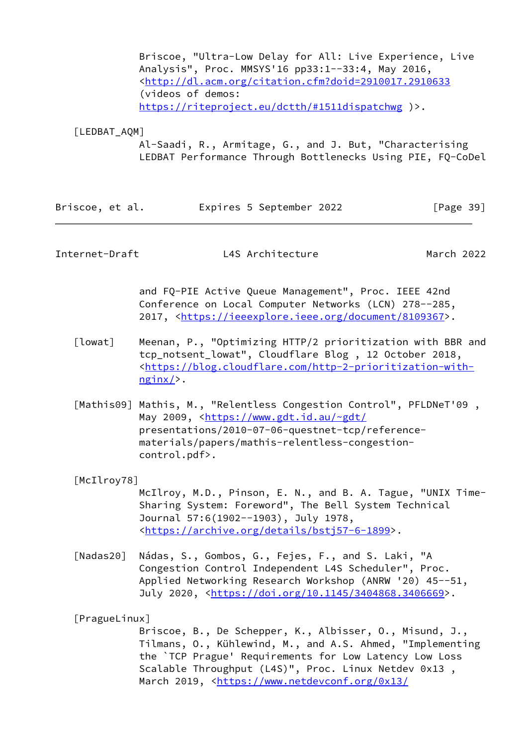Briscoe, "Ultra-Low Delay for All: Live Experience, Live Analysis", Proc. MMSYS'16 pp33:1--33:4, May 2016, <<http://dl.acm.org/citation.cfm?doid=2910017.2910633> (videos of demos: <https://riteproject.eu/dctth/#1511dispatchwg>)>.

<span id="page-44-3"></span>[LEDBAT\_AQM]

 Al-Saadi, R., Armitage, G., and J. But, "Characterising LEDBAT Performance Through Bottlenecks Using PIE, FQ-CoDel

| Briscoe, et al. | Expires 5 September 2022 | [Page 39] |
|-----------------|--------------------------|-----------|
|-----------------|--------------------------|-----------|

Internet-Draft L4S Architecture March 2022

 and FQ-PIE Active Queue Management", Proc. IEEE 42nd Conference on Local Computer Networks (LCN) 278--285, 2017, [<https://ieeexplore.ieee.org/document/8109367](https://ieeexplore.ieee.org/document/8109367)>.

- <span id="page-44-5"></span> [lowat] Meenan, P., "Optimizing HTTP/2 prioritization with BBR and tcp\_notsent\_lowat", Cloudflare Blog , 12 October 2018, <[https://blog.cloudflare.com/http-2-prioritization-with](https://blog.cloudflare.com/http-2-prioritization-with-nginx/) [nginx/](https://blog.cloudflare.com/http-2-prioritization-with-nginx/)>.
- <span id="page-44-1"></span> [Mathis09] Mathis, M., "Relentless Congestion Control", PFLDNeT'09 , May 2009, [<https://www.gdt.id.au/~gdt/](https://www.gdt.id.au/~gdt/) presentations/2010-07-06-questnet-tcp/reference materials/papers/mathis-relentless-congestion control.pdf>.

<span id="page-44-4"></span>[McIlroy78]

 McIlroy, M.D., Pinson, E. N., and B. A. Tague, "UNIX Time- Sharing System: Foreword", The Bell System Technical Journal 57:6(1902--1903), July 1978, <[https://archive.org/details/bstj57-6-1899>](https://archive.org/details/bstj57-6-1899).

<span id="page-44-2"></span>[Nadas20] Nádas, S., Gombos, G., Fejes, F., and S. Laki, "A Congestion Control Independent L4S Scheduler", Proc. Applied Networking Research Workshop (ANRW '20) 45--51, July 2020, <<https://doi.org/10.1145/3404868.3406669>>.

<span id="page-44-0"></span>[PragueLinux]

 Briscoe, B., De Schepper, K., Albisser, O., Misund, J., Tilmans, O., Kühlewind, M., and A.S. Ahmed, "Implementing the `TCP Prague' Requirements for Low Latency Low Loss Scalable Throughput (L4S)", Proc. Linux Netdev 0x13 , March 2019, [<https://www.netdevconf.org/0x13/](https://www.netdevconf.org/0x13/session.html?talk-tcp-prague-l4s)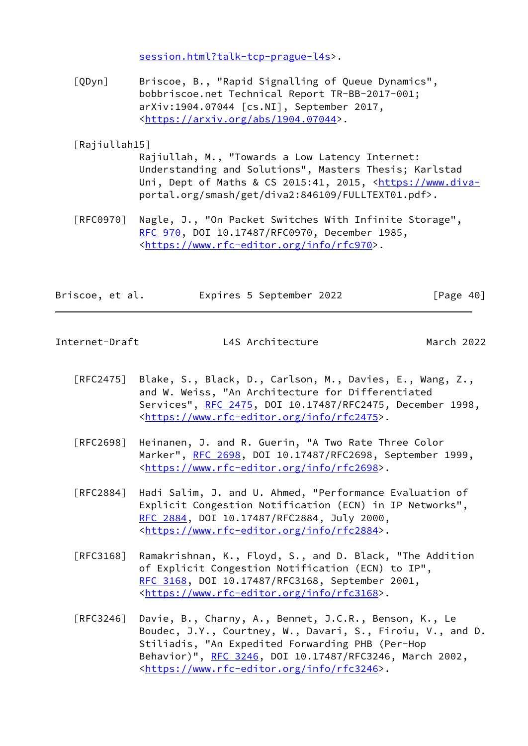[session.html?talk-tcp-prague-l4s>](https://www.netdevconf.org/0x13/session.html?talk-tcp-prague-l4s).

<span id="page-45-1"></span> [QDyn] Briscoe, B., "Rapid Signalling of Queue Dynamics", bobbriscoe.net Technical Report TR-BB-2017-001; arXiv:1904.07044 [cs.NI], September 2017, <[https://arxiv.org/abs/1904.07044>](https://arxiv.org/abs/1904.07044).

#### <span id="page-45-0"></span>[Rajiullah15]

 Rajiullah, M., "Towards a Low Latency Internet: Understanding and Solutions", Masters Thesis; Karlstad Uni, Dept of Maths & CS 2015:41, 2015, <[https://www.diva](https://www.diva-) portal.org/smash/get/diva2:846109/FULLTEXT01.pdf>.

 [RFC0970] Nagle, J., "On Packet Switches With Infinite Storage", [RFC 970](https://datatracker.ietf.org/doc/pdf/rfc970), DOI 10.17487/RFC0970, December 1985, <<https://www.rfc-editor.org/info/rfc970>>.

| Briscoe, et al. | Expires 5 September 2022 | [Page 40] |
|-----------------|--------------------------|-----------|
|                 |                          |           |

- [RFC2475] Blake, S., Black, D., Carlson, M., Davies, E., Wang, Z., and W. Weiss, "An Architecture for Differentiated Services", [RFC 2475](https://datatracker.ietf.org/doc/pdf/rfc2475), DOI 10.17487/RFC2475, December 1998, <[https://www.rfc-editor.org/info/rfc2475>](https://www.rfc-editor.org/info/rfc2475).
- [RFC2698] Heinanen, J. and R. Guerin, "A Two Rate Three Color Marker", [RFC 2698,](https://datatracker.ietf.org/doc/pdf/rfc2698) DOI 10.17487/RFC2698, September 1999, <[https://www.rfc-editor.org/info/rfc2698>](https://www.rfc-editor.org/info/rfc2698).
- [RFC2884] Hadi Salim, J. and U. Ahmed, "Performance Evaluation of Explicit Congestion Notification (ECN) in IP Networks", [RFC 2884,](https://datatracker.ietf.org/doc/pdf/rfc2884) DOI 10.17487/RFC2884, July 2000, <[https://www.rfc-editor.org/info/rfc2884>](https://www.rfc-editor.org/info/rfc2884).
- [RFC3168] Ramakrishnan, K., Floyd, S., and D. Black, "The Addition of Explicit Congestion Notification (ECN) to IP", [RFC 3168,](https://datatracker.ietf.org/doc/pdf/rfc3168) DOI 10.17487/RFC3168, September 2001, <[https://www.rfc-editor.org/info/rfc3168>](https://www.rfc-editor.org/info/rfc3168).
- [RFC3246] Davie, B., Charny, A., Bennet, J.C.R., Benson, K., Le Boudec, J.Y., Courtney, W., Davari, S., Firoiu, V., and D. Stiliadis, "An Expedited Forwarding PHB (Per-Hop Behavior)", [RFC 3246,](https://datatracker.ietf.org/doc/pdf/rfc3246) DOI 10.17487/RFC3246, March 2002, <[https://www.rfc-editor.org/info/rfc3246>](https://www.rfc-editor.org/info/rfc3246).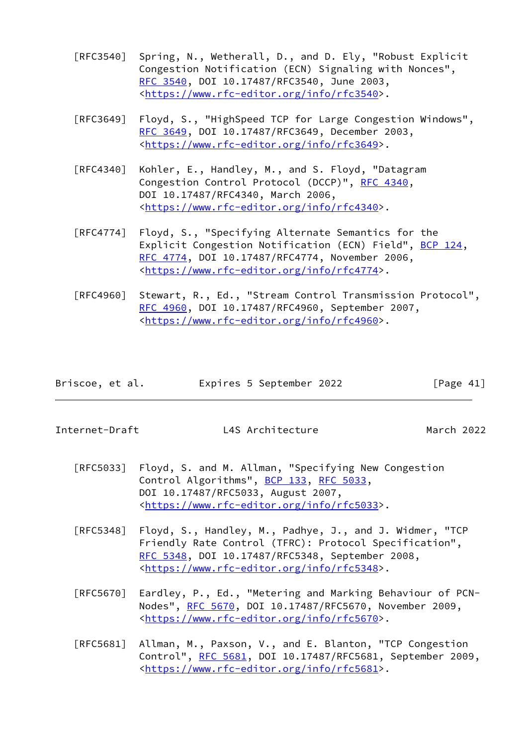- [RFC3540] Spring, N., Wetherall, D., and D. Ely, "Robust Explicit Congestion Notification (ECN) Signaling with Nonces", [RFC 3540,](https://datatracker.ietf.org/doc/pdf/rfc3540) DOI 10.17487/RFC3540, June 2003, <[https://www.rfc-editor.org/info/rfc3540>](https://www.rfc-editor.org/info/rfc3540).
- [RFC3649] Floyd, S., "HighSpeed TCP for Large Congestion Windows", [RFC 3649,](https://datatracker.ietf.org/doc/pdf/rfc3649) DOI 10.17487/RFC3649, December 2003, <[https://www.rfc-editor.org/info/rfc3649>](https://www.rfc-editor.org/info/rfc3649).
- [RFC4340] Kohler, E., Handley, M., and S. Floyd, "Datagram Congestion Control Protocol (DCCP)", [RFC 4340](https://datatracker.ietf.org/doc/pdf/rfc4340), DOI 10.17487/RFC4340, March 2006, <[https://www.rfc-editor.org/info/rfc4340>](https://www.rfc-editor.org/info/rfc4340).
- [RFC4774] Floyd, S., "Specifying Alternate Semantics for the Explicit Congestion Notification (ECN) Field", [BCP 124](https://datatracker.ietf.org/doc/pdf/bcp124), [RFC 4774,](https://datatracker.ietf.org/doc/pdf/rfc4774) DOI 10.17487/RFC4774, November 2006, <[https://www.rfc-editor.org/info/rfc4774>](https://www.rfc-editor.org/info/rfc4774).
- [RFC4960] Stewart, R., Ed., "Stream Control Transmission Protocol", [RFC 4960,](https://datatracker.ietf.org/doc/pdf/rfc4960) DOI 10.17487/RFC4960, September 2007, <[https://www.rfc-editor.org/info/rfc4960>](https://www.rfc-editor.org/info/rfc4960).

| Briscoe, et al. | Expires 5 September 2022 | [Page 41] |
|-----------------|--------------------------|-----------|
|                 |                          |           |

- [RFC5033] Floyd, S. and M. Allman, "Specifying New Congestion Control Algorithms", [BCP 133](https://datatracker.ietf.org/doc/pdf/bcp133), [RFC 5033](https://datatracker.ietf.org/doc/pdf/rfc5033), DOI 10.17487/RFC5033, August 2007, <[https://www.rfc-editor.org/info/rfc5033>](https://www.rfc-editor.org/info/rfc5033).
- [RFC5348] Floyd, S., Handley, M., Padhye, J., and J. Widmer, "TCP Friendly Rate Control (TFRC): Protocol Specification", [RFC 5348,](https://datatracker.ietf.org/doc/pdf/rfc5348) DOI 10.17487/RFC5348, September 2008, <[https://www.rfc-editor.org/info/rfc5348>](https://www.rfc-editor.org/info/rfc5348).
- [RFC5670] Eardley, P., Ed., "Metering and Marking Behaviour of PCN- Nodes", [RFC 5670,](https://datatracker.ietf.org/doc/pdf/rfc5670) DOI 10.17487/RFC5670, November 2009, <[https://www.rfc-editor.org/info/rfc5670>](https://www.rfc-editor.org/info/rfc5670).
- [RFC5681] Allman, M., Paxson, V., and E. Blanton, "TCP Congestion Control", [RFC 5681](https://datatracker.ietf.org/doc/pdf/rfc5681), DOI 10.17487/RFC5681, September 2009, <[https://www.rfc-editor.org/info/rfc5681>](https://www.rfc-editor.org/info/rfc5681).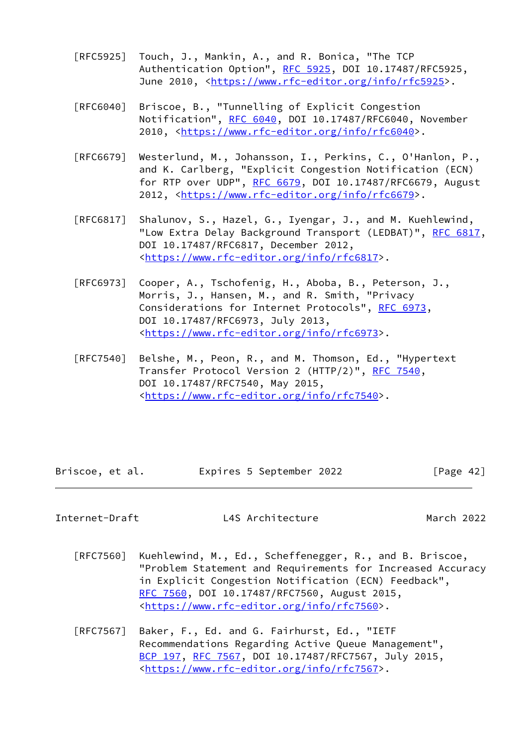- [RFC5925] Touch, J., Mankin, A., and R. Bonica, "The TCP Authentication Option", [RFC 5925,](https://datatracker.ietf.org/doc/pdf/rfc5925) DOI 10.17487/RFC5925, June 2010, <<https://www.rfc-editor.org/info/rfc5925>>.
- [RFC6040] Briscoe, B., "Tunnelling of Explicit Congestion Notification", [RFC 6040](https://datatracker.ietf.org/doc/pdf/rfc6040), DOI 10.17487/RFC6040, November 2010, [<https://www.rfc-editor.org/info/rfc6040](https://www.rfc-editor.org/info/rfc6040)>.
- [RFC6679] Westerlund, M., Johansson, I., Perkins, C., O'Hanlon, P., and K. Carlberg, "Explicit Congestion Notification (ECN) for RTP over UDP", [RFC 6679](https://datatracker.ietf.org/doc/pdf/rfc6679), DOI 10.17487/RFC6679, August 2012, [<https://www.rfc-editor.org/info/rfc6679](https://www.rfc-editor.org/info/rfc6679)>.
- [RFC6817] Shalunov, S., Hazel, G., Iyengar, J., and M. Kuehlewind, "Low Extra Delay Background Transport (LEDBAT)", [RFC 6817,](https://datatracker.ietf.org/doc/pdf/rfc6817) DOI 10.17487/RFC6817, December 2012, <[https://www.rfc-editor.org/info/rfc6817>](https://www.rfc-editor.org/info/rfc6817).
- [RFC6973] Cooper, A., Tschofenig, H., Aboba, B., Peterson, J., Morris, J., Hansen, M., and R. Smith, "Privacy Considerations for Internet Protocols", [RFC 6973,](https://datatracker.ietf.org/doc/pdf/rfc6973) DOI 10.17487/RFC6973, July 2013, <[https://www.rfc-editor.org/info/rfc6973>](https://www.rfc-editor.org/info/rfc6973).
- [RFC7540] Belshe, M., Peon, R., and M. Thomson, Ed., "Hypertext Transfer Protocol Version 2 (HTTP/2)", [RFC 7540](https://datatracker.ietf.org/doc/pdf/rfc7540), DOI 10.17487/RFC7540, May 2015, <[https://www.rfc-editor.org/info/rfc7540>](https://www.rfc-editor.org/info/rfc7540).

Briscoe, et al. 
Expires 5 September 2022
[Page 42]

- [RFC7560] Kuehlewind, M., Ed., Scheffenegger, R., and B. Briscoe, "Problem Statement and Requirements for Increased Accuracy in Explicit Congestion Notification (ECN) Feedback", [RFC 7560,](https://datatracker.ietf.org/doc/pdf/rfc7560) DOI 10.17487/RFC7560, August 2015, <[https://www.rfc-editor.org/info/rfc7560>](https://www.rfc-editor.org/info/rfc7560).
- [RFC7567] Baker, F., Ed. and G. Fairhurst, Ed., "IETF Recommendations Regarding Active Queue Management", [BCP 197](https://datatracker.ietf.org/doc/pdf/bcp197), [RFC 7567,](https://datatracker.ietf.org/doc/pdf/rfc7567) DOI 10.17487/RFC7567, July 2015, <[https://www.rfc-editor.org/info/rfc7567>](https://www.rfc-editor.org/info/rfc7567).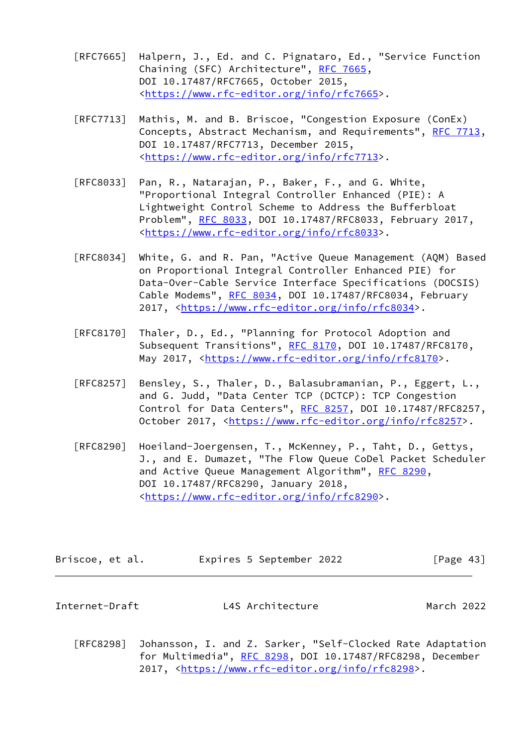- [RFC7665] Halpern, J., Ed. and C. Pignataro, Ed., "Service Function Chaining (SFC) Architecture", [RFC 7665](https://datatracker.ietf.org/doc/pdf/rfc7665), DOI 10.17487/RFC7665, October 2015, <[https://www.rfc-editor.org/info/rfc7665>](https://www.rfc-editor.org/info/rfc7665).
- [RFC7713] Mathis, M. and B. Briscoe, "Congestion Exposure (ConEx) Concepts, Abstract Mechanism, and Requirements", [RFC 7713,](https://datatracker.ietf.org/doc/pdf/rfc7713) DOI 10.17487/RFC7713, December 2015, <[https://www.rfc-editor.org/info/rfc7713>](https://www.rfc-editor.org/info/rfc7713).
- [RFC8033] Pan, R., Natarajan, P., Baker, F., and G. White, "Proportional Integral Controller Enhanced (PIE): A Lightweight Control Scheme to Address the Bufferbloat Problem", [RFC 8033](https://datatracker.ietf.org/doc/pdf/rfc8033), DOI 10.17487/RFC8033, February 2017, <[https://www.rfc-editor.org/info/rfc8033>](https://www.rfc-editor.org/info/rfc8033).
- [RFC8034] White, G. and R. Pan, "Active Queue Management (AQM) Based on Proportional Integral Controller Enhanced PIE) for Data-Over-Cable Service Interface Specifications (DOCSIS) Cable Modems", [RFC 8034](https://datatracker.ietf.org/doc/pdf/rfc8034), DOI 10.17487/RFC8034, February 2017, [<https://www.rfc-editor.org/info/rfc8034](https://www.rfc-editor.org/info/rfc8034)>.
- [RFC8170] Thaler, D., Ed., "Planning for Protocol Adoption and Subsequent Transitions", [RFC 8170,](https://datatracker.ietf.org/doc/pdf/rfc8170) DOI 10.17487/RFC8170, May 2017, [<https://www.rfc-editor.org/info/rfc8170](https://www.rfc-editor.org/info/rfc8170)>.
- [RFC8257] Bensley, S., Thaler, D., Balasubramanian, P., Eggert, L., and G. Judd, "Data Center TCP (DCTCP): TCP Congestion Control for Data Centers", [RFC 8257](https://datatracker.ietf.org/doc/pdf/rfc8257), DOI 10.17487/RFC8257, October 2017, [<https://www.rfc-editor.org/info/rfc8257](https://www.rfc-editor.org/info/rfc8257)>.
- [RFC8290] Hoeiland-Joergensen, T., McKenney, P., Taht, D., Gettys, J., and E. Dumazet, "The Flow Queue CoDel Packet Scheduler and Active Queue Management Algorithm", [RFC 8290,](https://datatracker.ietf.org/doc/pdf/rfc8290) DOI 10.17487/RFC8290, January 2018, <[https://www.rfc-editor.org/info/rfc8290>](https://www.rfc-editor.org/info/rfc8290).

| Briscoe, et al. | Expires 5 September 2022 | [Page 43] |
|-----------------|--------------------------|-----------|
|-----------------|--------------------------|-----------|

 [RFC8298] Johansson, I. and Z. Sarker, "Self-Clocked Rate Adaptation for Multimedia", [RFC 8298,](https://datatracker.ietf.org/doc/pdf/rfc8298) DOI 10.17487/RFC8298, December 2017, [<https://www.rfc-editor.org/info/rfc8298](https://www.rfc-editor.org/info/rfc8298)>.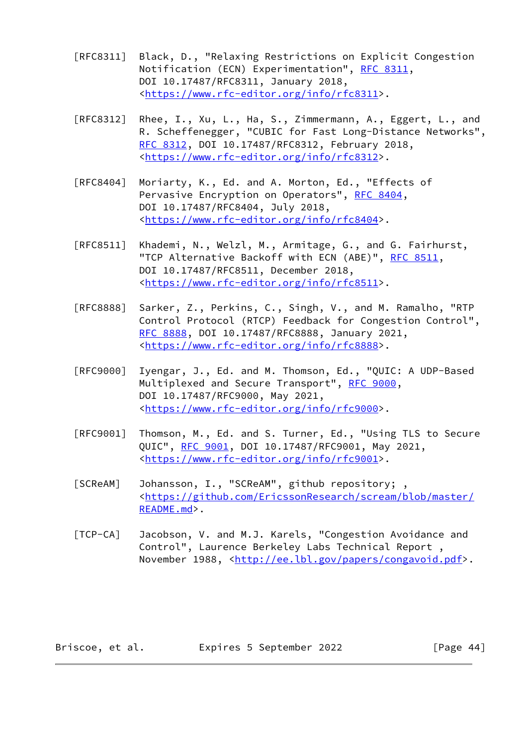- [RFC8311] Black, D., "Relaxing Restrictions on Explicit Congestion Notification (ECN) Experimentation", [RFC 8311](https://datatracker.ietf.org/doc/pdf/rfc8311), DOI 10.17487/RFC8311, January 2018, <[https://www.rfc-editor.org/info/rfc8311>](https://www.rfc-editor.org/info/rfc8311).
- [RFC8312] Rhee, I., Xu, L., Ha, S., Zimmermann, A., Eggert, L., and R. Scheffenegger, "CUBIC for Fast Long-Distance Networks", [RFC 8312,](https://datatracker.ietf.org/doc/pdf/rfc8312) DOI 10.17487/RFC8312, February 2018, <[https://www.rfc-editor.org/info/rfc8312>](https://www.rfc-editor.org/info/rfc8312).
- [RFC8404] Moriarty, K., Ed. and A. Morton, Ed., "Effects of Pervasive Encryption on Operators", [RFC 8404,](https://datatracker.ietf.org/doc/pdf/rfc8404) DOI 10.17487/RFC8404, July 2018, <[https://www.rfc-editor.org/info/rfc8404>](https://www.rfc-editor.org/info/rfc8404).
- [RFC8511] Khademi, N., Welzl, M., Armitage, G., and G. Fairhurst, "TCP Alternative Backoff with ECN (ABE)", [RFC 8511](https://datatracker.ietf.org/doc/pdf/rfc8511), DOI 10.17487/RFC8511, December 2018, <[https://www.rfc-editor.org/info/rfc8511>](https://www.rfc-editor.org/info/rfc8511).
- [RFC8888] Sarker, Z., Perkins, C., Singh, V., and M. Ramalho, "RTP Control Protocol (RTCP) Feedback for Congestion Control", [RFC 8888,](https://datatracker.ietf.org/doc/pdf/rfc8888) DOI 10.17487/RFC8888, January 2021, <[https://www.rfc-editor.org/info/rfc8888>](https://www.rfc-editor.org/info/rfc8888).
- [RFC9000] Iyengar, J., Ed. and M. Thomson, Ed., "QUIC: A UDP-Based Multiplexed and Secure Transport", [RFC 9000](https://datatracker.ietf.org/doc/pdf/rfc9000), DOI 10.17487/RFC9000, May 2021, <[https://www.rfc-editor.org/info/rfc9000>](https://www.rfc-editor.org/info/rfc9000).
- [RFC9001] Thomson, M., Ed. and S. Turner, Ed., "Using TLS to Secure QUIC", [RFC 9001](https://datatracker.ietf.org/doc/pdf/rfc9001), DOI 10.17487/RFC9001, May 2021, <[https://www.rfc-editor.org/info/rfc9001>](https://www.rfc-editor.org/info/rfc9001).
- <span id="page-49-0"></span>[SCReAM] Johansson, I., "SCReAM", github repository; , <[https://github.com/EricssonResearch/scream/blob/master/](https://github.com/EricssonResearch/scream/blob/master/README.md) [README.md>](https://github.com/EricssonResearch/scream/blob/master/README.md).
- <span id="page-49-1"></span> [TCP-CA] Jacobson, V. and M.J. Karels, "Congestion Avoidance and Control", Laurence Berkeley Labs Technical Report , November 1988, <<http://ee.lbl.gov/papers/congavoid.pdf>>.

Briscoe, et al. 
Expires 5 September 2022
[Page 44]